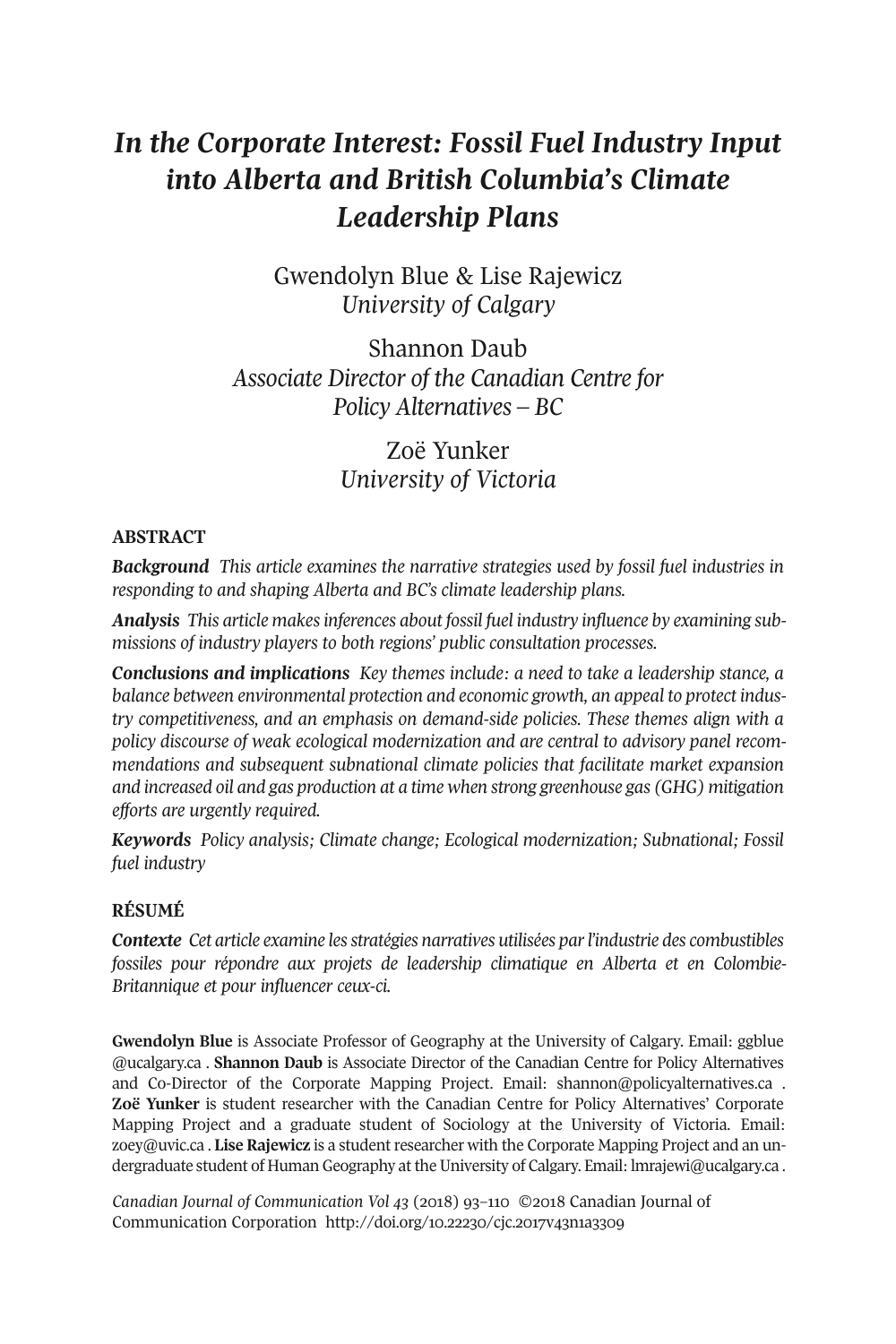# *In the Corporate Interest: Fossil Fuel Industry Input into Alberta and British Columbia's Climate Leadership Plans*

Gwendolyn Blue & Lise Rajewicz *University of Calgary*

Shannon Daub *Associate Director of the Canadian Centre for Policy Alternatives – BC*

> Zoë Yunker *University of Victoria*

# **ABSTRACT**

*Background This article examines the narrative strategies used by fossil fuel industries in responding to and shaping Alberta and BC's climate leadership plans.*

*Analysis This article makesinferences about fossil fuel industry influence by examining submissions of industry players to both regions' public consultation processes.*

*Conclusions and implications Key themes include: a need to take a leadership stance, a balance between environmental protection and economic growth, an appeal to protect industry competitiveness, and an emphasis on demand-side policies. These themes align with a policy discourse of weak ecological modernization and are central to advisory panel recommendations and subsequent subnational climate policies that facilitate market expansion and increased oil and gas production at a time when strong greenhouse gas (GHG) mitigation efforts are urgently required.*

*Keywords Policy analysis; Climate change; Ecological modernization; Subnational; Fossil fuel industry*

# **RÉSUMÉ**

*Contexte Cet article examine lesstratégies narratives utilisées parl'industrie des combustibles fossiles pour répondre aux projets de leadership climatique en Alberta et en Colombie-Britannique et pour influencer ceux-ci.*

**Gwendolyn Blue** is Associate Professor of Geography at the University of Calgary. Email: [ggblue](mailto:ggblue@ucalgary.ca) [@ucalgary.ca](mailto:ggblue@ucalgary.ca) . **Shannon Daub** is Associate Director of the Canadian Centre for Policy Alternatives and Co-Director of the Corporate Mapping Project. Email: [shannon@policyalternatives.ca](mailto:shannon@policyalternatives.ca) . **Zoë Yunker** is student researcher with the Canadian Centre for Policy Alternatives' Corporate Mapping Project and a graduate student of Sociology at the University of Victoria. Email: [zoey@uvic.ca](mailto:zoey@uvic.ca) . **Lise Rajewicz** is a student researcher with the Corporate Mapping Project and an undergraduate student of Human Geography at the University of Calgary. Email: [lmrajewi@ucalgary.ca](mailto:lmrajewi@ucalgary.ca) .

*Canadian Journal of [Communication](http://www.cjc-online.ca) Vol 43* (2018) 93–110 ©2018 Canadian Journal of Communication Corporation <http://doi.org/10.22230/cjc.2017v43n1a3309>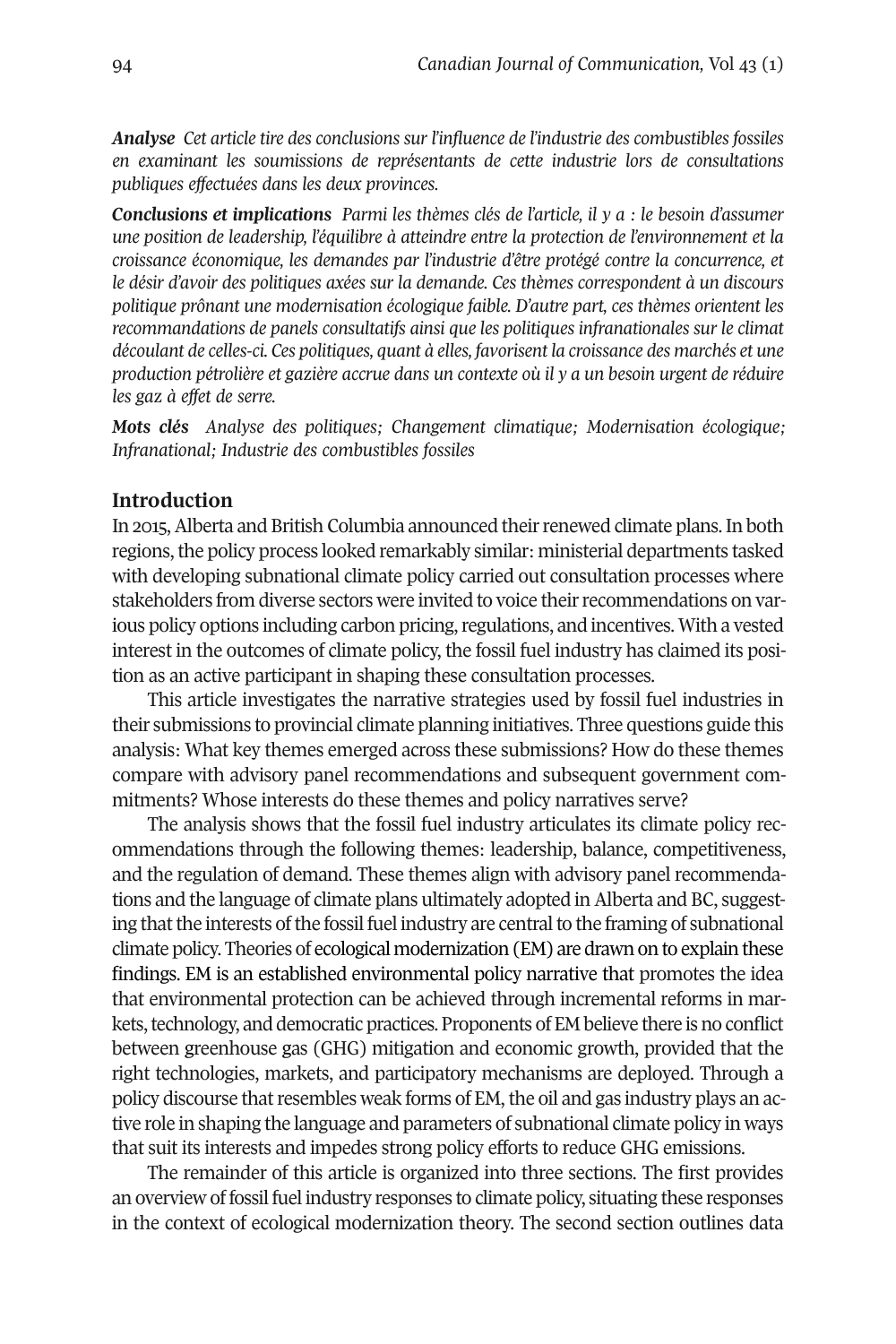*Analyse Cet article tire des conclusions sur l'influence de l'industrie des combustibles fossiles en examinant les soumissions de représentants de cette industrie lors de consultations publiques effectuées dans les deux provinces.*

*Conclusions et implications Parmi les thèmes clés de l'article, il y a : le besoin d'assumer une position de leadership, l'équilibre à atteindre entre la protection de l'environnement et la croissance économique, les demandes par l'industrie d'être protégé contre la concurrence, et le désir d'avoir des politiques axées sur la demande. Ces thèmes correspondent à un discours politique prônant une modernisation écologique faible. D'autre part, ces thèmes orientent les recommandations de panels consultatifs ainsi que les politiques infranationales sur le climat découlant de celles-ci. Ces politiques, quant à elles, favorisent la croissance des marchés et une production pétrolière et gazière accrue dans un contexte où il y a un besoin urgent de réduire les gaz à effet de serre.*

*Mots clés Analyse des politiques; Changement climatique; Modernisation écologique; Infranational; Industrie des combustibles fossiles*

# **Introduction**

In 2015, Alberta and British Columbia announced their renewed climate plans. In both regions, the policy process looked remarkably similar: ministerial departments tasked with developing subnational climate policy carried out consultation processes where stakeholders from diverse sectors were invited to voice their recommendations on various policy options including carbon pricing, regulations, and incentives. With a vested interest in the outcomes of climate policy, the fossil fuel industry has claimed its position as an active participant in shaping these consultation processes.

This article investigates the narrative strategies used by fossil fuel industries in their submissions to provincial climate planning initiatives. Three questions guide this analysis: What key themes emerged across these submissions? How do these themes compare with advisory panel recommendations and subsequent government commitments? Whose interests do these themes and policy narratives serve?

The analysis shows that the fossil fuel industry articulates its climate policy recommendations through the following themes: leadership, balance, competitiveness, and the regulation of demand. These themes align with advisory panel recommendations and the language of climate plans ultimately adopted in Alberta and BC, suggesting that the interests of the fossil fuel industry are central to the framing of subnational climate policy. Theories of ecological modernization (EM) are drawn on to explain these findings. EM is an established environmental policy narrative that promotes the idea that environmental protection can be achieved through incremental reforms in markets, technology, and democratic practices. Proponents of EM believe there is no conflict between greenhouse gas (GHG) mitigation and economic growth, provided that the right technologies, markets, and participatory mechanisms are deployed. Through a policy discourse that resembles weak forms of EM, the oil and gas industry plays an active role in shaping the language and parameters of subnational climate policy in ways that suit its interests and impedes strong policy efforts to reduce GHG emissions.

The remainder of this article is organized into three sections. The first provides an overview offossilfuel industry responses to climate policy, situating these responses in the context of ecological modernization theory. The second section outlines data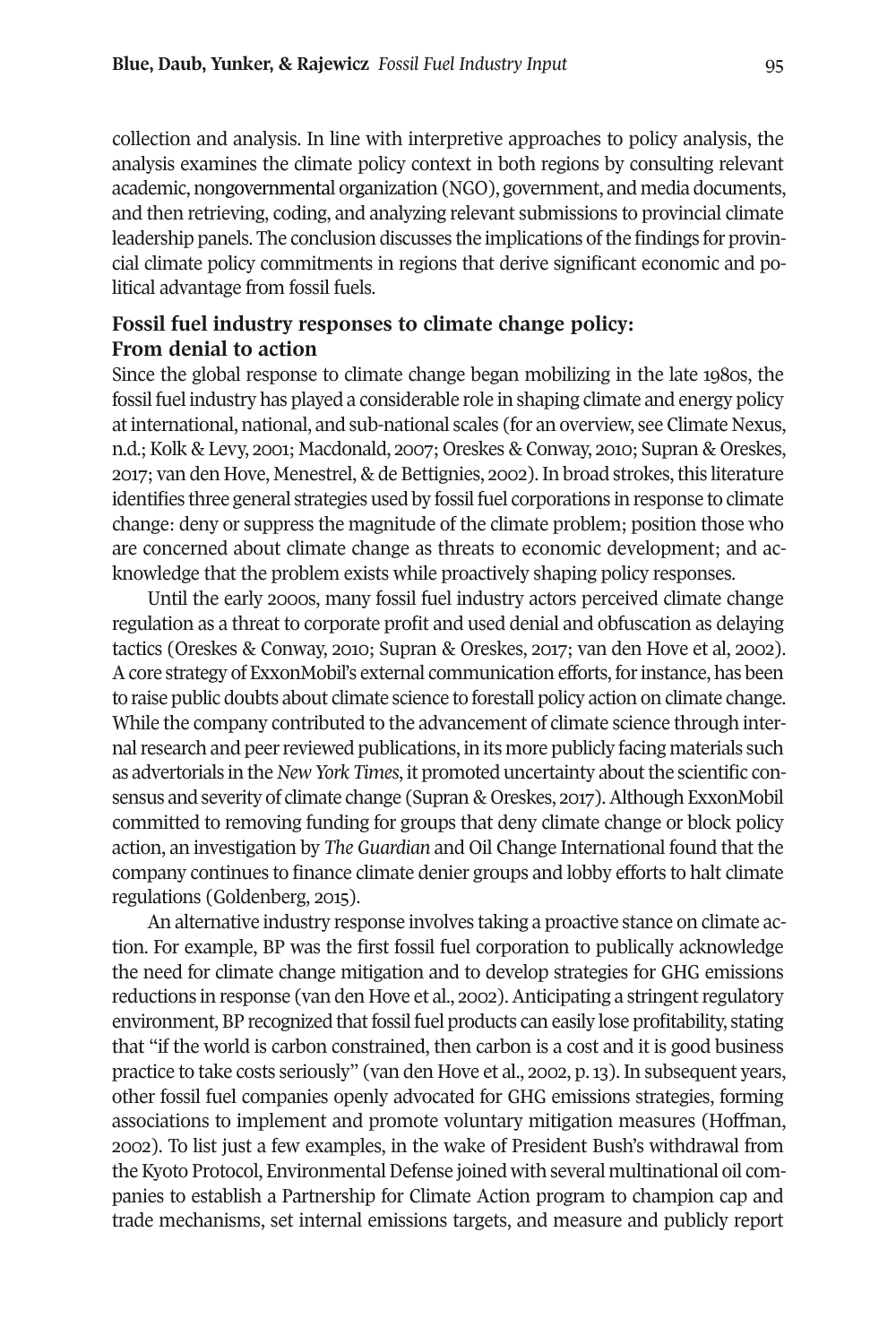collection and analysis. In line with interpretive approaches to policy analysis, the analysis examines the climate policy context in both regions by consulting relevant academic, nongovernmental organization (NGO), government, and media documents, and then retrieving, coding, and analyzing relevant submissions to provincial climate leadership panels. The conclusion discusses the implications of the findings for provincial climate policy commitments in regions that derive significant economic and political advantage from fossil fuels.

# **Fossil fuel industry responses to climate change policy: From denial to action**

Since the global response to climate change began mobilizing in the late 1980s, the fossil fuel industry has played a considerable role in shaping climate and energy policy atinternational, national, and sub-national scales (for an overview, see Climate Nexus, n.d.;Kolk & Levy, 2001; Macdonald, 2007; Oreskes & Conway, 2010; Supran & Oreskes, 2017; van den Hove, Menestrel, & de Bettignies, 2002). In broad strokes, this literature identifies three general strategies used by fossil fuel corporations in response to climate change: deny or suppress the magnitude of the climate problem; position those who are concerned about climate change as threats to economic development; and acknowledge that the problem exists while proactively shaping policy responses.

Until the early 2000s, many fossil fuel industry actors perceived climate change regulation as a threat to corporate profit and used denial and obfuscation as delaying tactics (Oreskes & Conway, 2010; Supran & Oreskes, 2017; van den Hove et al, 2002). Acore strategy of ExxonMobil's external communication efforts, forinstance, has been to raise public doubts about climate science to forestall policy action on climate change. While the company contributed to the advancement of climate science through internal research and peer reviewed publications, in its more publicly facing materials such as advertorials in the *New York Times*, it promoted uncertainty about the scientific consensus and severity of climate change (Supran & Oreskes, 2017). Although ExxonMobil committed to removing funding for groups that deny climate change or block policy action, an investigation by *The Guardian* and Oil Change International found that the company continues to finance climate denier groups and lobby efforts to halt climate regulations (Goldenberg, 2015).

An alternative industry response involves taking a proactive stance on climate action. For example, BP was the first fossil fuel corporation to publically acknowledge the need for climate change mitigation and to develop strategies for GHG emissions reductions in response (van den Hove et al., 2002). Anticipating a stringent regulatory environment, BP recognized that fossil fuel products can easily lose profitability, stating that "if the world is carbon constrained, then carbon is a cost and it is good business practice to take costs seriously" (van den Hove et al., 2002, p.13). In subsequent years, other fossil fuel companies openly advocated for GHG emissions strategies, forming associations to implement and promote voluntary mitigation measures (Hoffman, 2002). To list just a few examples, in the wake of President Bush's withdrawal from theKyoto Protocol, EnvironmentalDefense joined with several multinational oil companies to establish a Partnership for Climate Action program to champion cap and trade mechanisms, set internal emissions targets, and measure and publicly report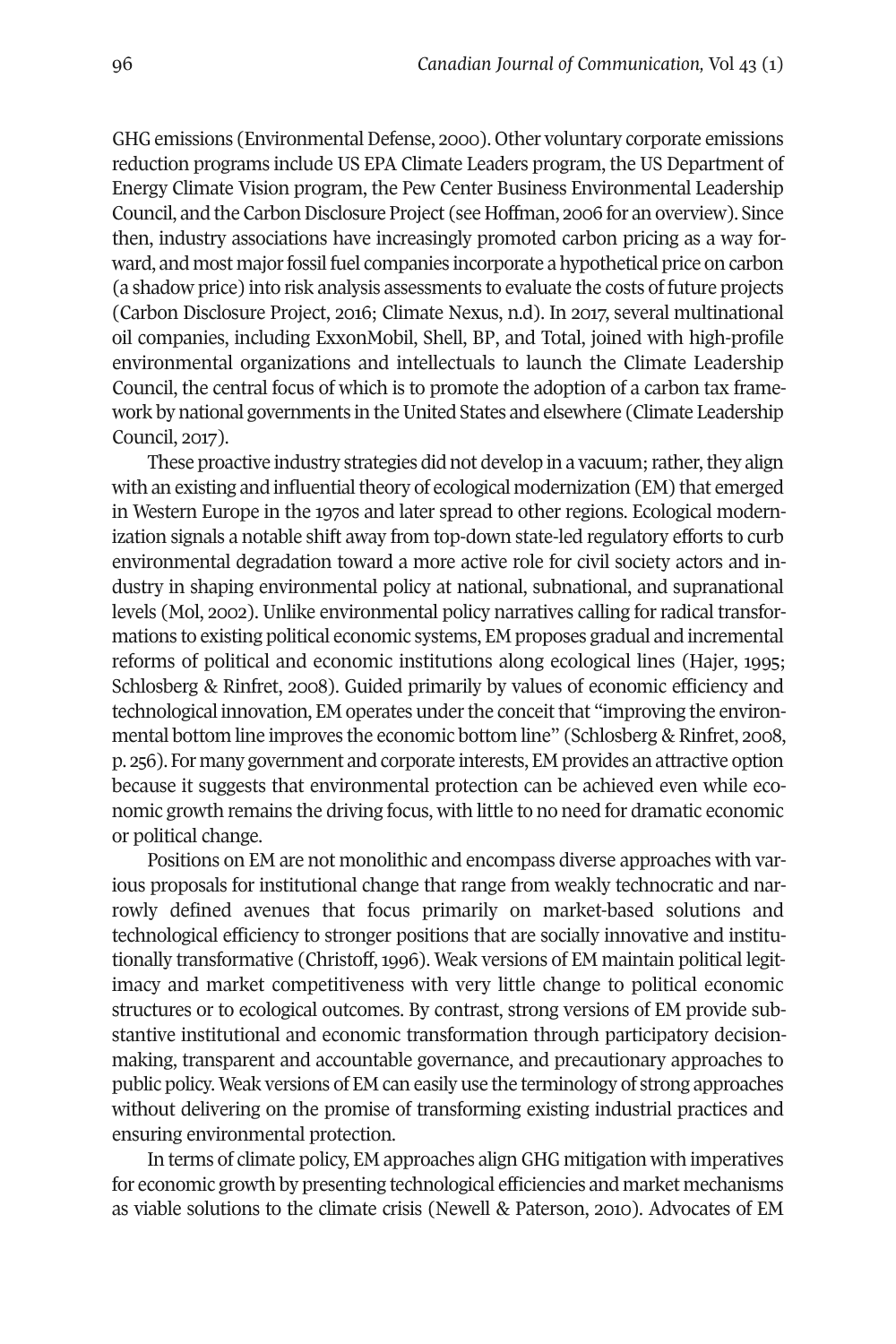GHG emissions (Environmental Defense, 2000). Other voluntary corporate emissions reduction programs include US EPA Climate Leaders program, the US Department of Energy Climate Vision program, the Pew Center Business Environmental Leadership Council, and the Carbon Disclosure Project (see Hoffman, 2006 for an overview). Since then, industry associations have increasingly promoted carbon pricing as a way forward, and most major fossil fuel companies incorporate a hypothetical price on carbon (a shadow price) into risk analysis assessments to evaluate the costs of future projects (Carbon Disclosure Project, 2016; Climate Nexus, n.d). In 2017, several multinational oil companies, including ExxonMobil, Shell, BP, and Total, joined with high-profile environmental organizations and intellectuals to launch the Climate Leadership Council, the central focus of which is to promote the adoption of a carbon tax framework by national governments in the United States and elsewhere (Climate Leadership Council, 2017).

These proactive industry strategies did not develop in a vacuum; rather, they align with an existing and influential theory of ecological modernization (EM) that emerged in Western Europe in the 1970s and later spread to other regions. Ecological modernization signals a notable shift away from top-down state-led regulatory efforts to curb environmental degradation toward a more active role for civil society actors and industry in shaping environmental policy at national, subnational, and supranational levels (Mol, 2002). Unlike environmental policy narratives calling for radical transformations to existing political economic systems, EM proposes gradual and incremental reforms of political and economic institutions along ecological lines (Hajer, 1995; Schlosberg & Rinfret, 2008). Guided primarily by values of economic efficiency and technological innovation, EM operates under the conceit that "improving the environmental bottom line improves the economic bottom line" (Schlosberg & Rinfret, 2008, p. 256). For many government and corporate interests, EM provides an attractive option because it suggests that environmental protection can be achieved even while economic growth remains the driving focus, with little to no need for dramatic economic or political change.

Positions on EM are not monolithic and encompass diverse approaches with various proposals for institutional change that range from weakly technocratic and narrowly defined avenues that focus primarily on market-based solutions and technological efficiency to stronger positions that are socially innovative and institutionally transformative (Christoff,1996). Weak versions of EM maintain political legitimacy and market competitiveness with very little change to political economic structures or to ecological outcomes. By contrast, strong versions of EM provide substantive institutional and economic transformation through participatory decisionmaking, transparent and accountable governance, and precautionary approaches to public policy. Weak versions of EM can easily use the terminology of strong approaches without delivering on the promise of transforming existing industrial practices and ensuring environmental protection.

In terms of climate policy, EM approaches align GHG mitigation with imperatives for economic growth by presenting technological efficiencies and market mechanisms as viable solutions to the climate crisis (Newell & Paterson, 2010). Advocates of EM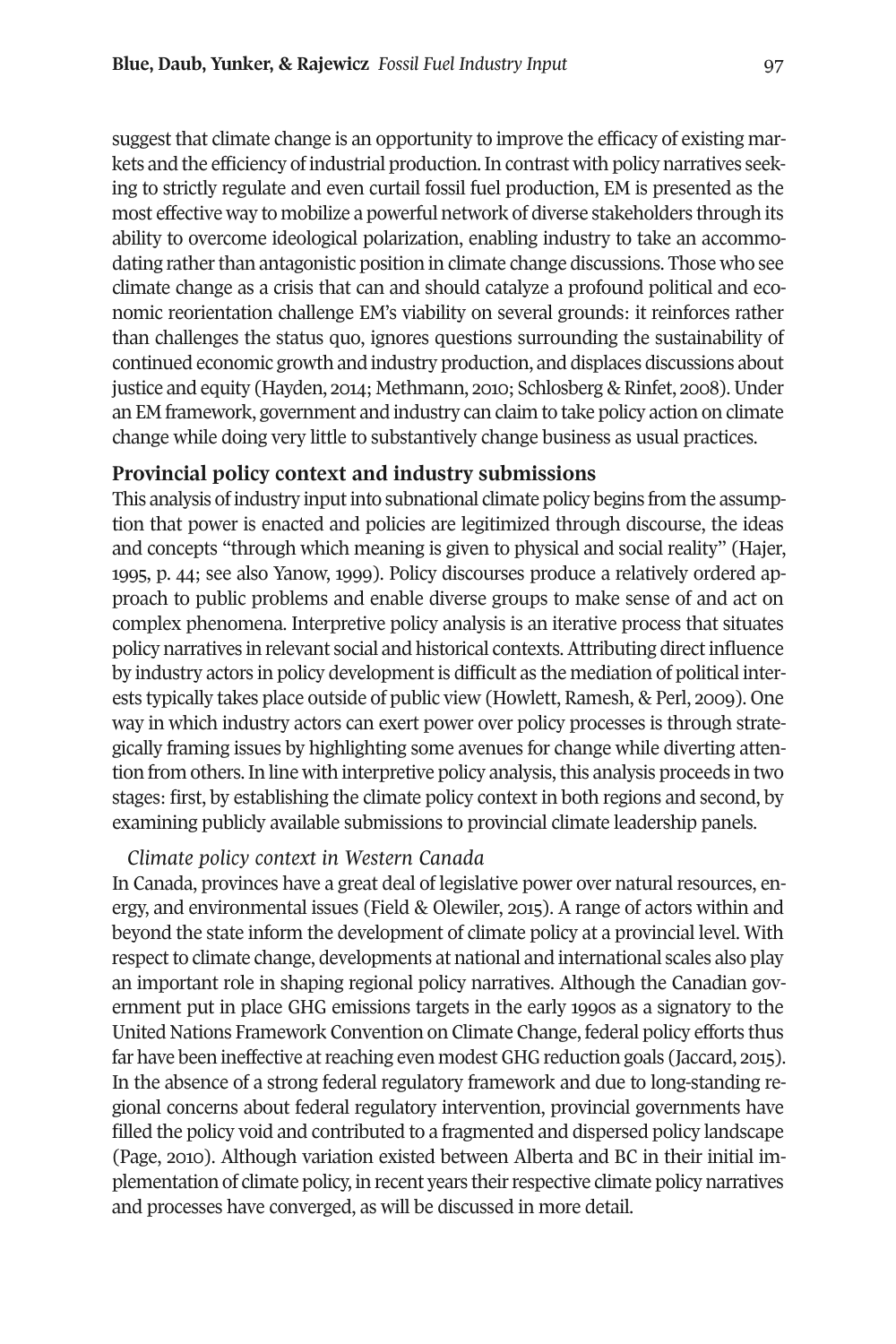suggest that climate change is an opportunity to improve the efficacy of existing markets and the efficiency of industrial production.In contrast with policy narratives seeking to strictly regulate and even curtail fossil fuel production, EM is presented as the most effective way to mobilize a powerful network of diverse stakeholders through its ability to overcome ideological polarization, enabling industry to take an accommodating rather than antagonistic position in climate change discussions. Those who see climate change as a crisis that can and should catalyze a profound political and economic reorientation challenge EM's viability on several grounds: it reinforces rather than challenges the status quo, ignores questions surrounding the sustainability of continued economic growth and industry production, and displaces discussions about justice and equity (Hayden, 2014; Methmann, 2010; Schlosberg & Rinfet, 2008). Under an EM framework, government and industry can claim to take policy action on climate change while doing very little to substantively change business as usual practices.

# **Provincial policy context and industry submissions**

This analysis of industry input into subnational climate policy begins from the assumption that power is enacted and policies are legitimized through discourse, the ideas and concepts "through which meaning is given to physical and social reality" (Hajer, 1995, p. 44; see also Yanow, 1999). Policy discourses produce a relatively ordered approach to public problems and enable diverse groups to make sense of and act on complex phenomena. Interpretive policy analysis is an iterative process that situates policy narratives in relevant social and historical contexts.Attributing directinfluence by industry actors in policy developmentis difficult as the mediation of political interests typically takes place outside of public view (Howlett, Ramesh, & Perl, 2009). One way in which industry actors can exert power over policy processes is through strategically framing issues by highlighting some avenues for change while diverting attention from others. In line with interpretive policy analysis, this analysis proceeds in two stages: first, by establishing the climate policy context in both regions and second, by examining publicly available submissions to provincial climate leadership panels.

# *Climate policy context in Western Canada*

In Canada, provinces have a great deal of legislative power over natural resources, energy, and environmental issues (Field & Olewiler, 2015). A range of actors within and beyond the state inform the development of climate policy at a provincial level. With respect to climate change, developments at national and international scales also play an important role in shaping regional policy narratives. Although the Canadian government put in place GHG emissions targets in the early 1990s as a signatory to the United Nations Framework Convention on Climate Change, federal policy efforts thus far have been ineffective at reaching even modest GHG reduction goals (Jaccard, 2015). In the absence of a strong federal regulatory framework and due to long-standing regional concerns about federal regulatory intervention, provincial governments have filled the policy void and contributed to a fragmented and dispersed policy landscape (Page, 2010). Although variation existed between Alberta and BC in their initial implementation of climate policy, in recent years their respective climate policy narratives and processes have converged, as will be discussed in more detail.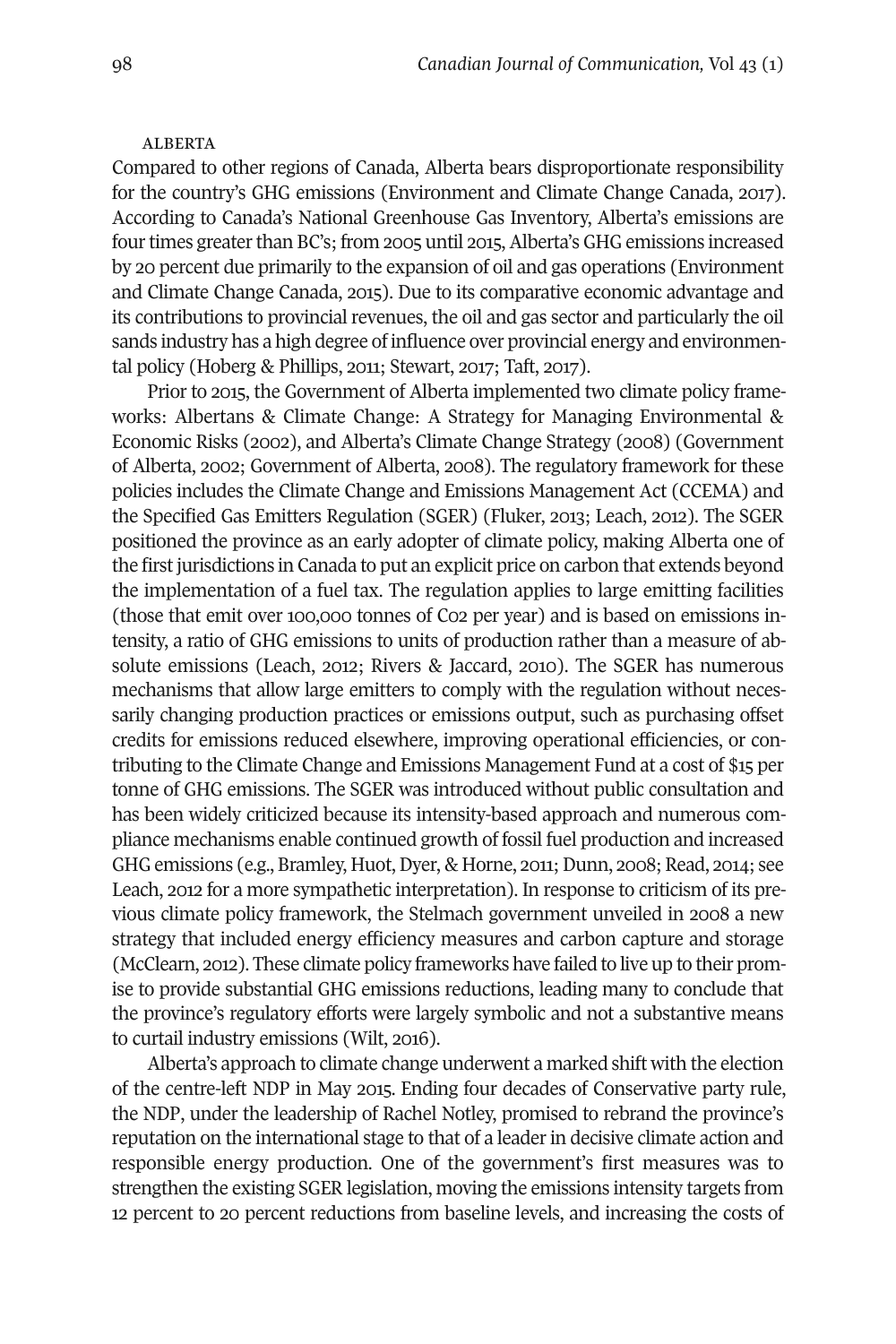#### **ALBERTA**

Compared to other regions of Canada, Alberta bears disproportionate responsibility for the country's GHG emissions (Environment and Climate Change Canada, 2017). According to Canada's National Greenhouse Gas Inventory, Alberta's emissions are four times greater than BC's; from 2005 until 2015, Alberta's GHG emissions increased by 20 percent due primarily to the expansion of oil and gas operations (Environment and Climate Change Canada, 2015). Due to its comparative economic advantage and its contributions to provincial revenues, the oil and gas sector and particularly the oil sands industry has a high degree of influence over provincial energy and environmental policy (Hoberg & Phillips, 2011; Stewart, 2017; Taft, 2017).

Prior to 2015, the Government of Alberta implemented two climate policy frameworks: Albertans & Climate Change: A Strategy for Managing Environmental & Economic Risks (2002), and Alberta's Climate Change Strategy (2008) (Government of Alberta, 2002; Government of Alberta, 2008). The regulatory framework for these policies includes the Climate Change and Emissions Management Act (CCEMA) and the Specified Gas Emitters Regulation (SGER) (Fluker, 2013; Leach, 2012). The SGER positioned the province as an early adopter of climate policy, making Alberta one of the firstjurisdictions in Canada to put an explicit price on carbon that extends beyond the implementation of a fuel tax. The regulation applies to large emitting facilities (those that emit over 100,000 tonnes of C02 per year) and is based on emissions intensity, a ratio of GHG emissions to units of production rather than a measure of absolute emissions (Leach, 2012; Rivers & Jaccard, 2010). The SGER has numerous mechanisms that allow large emitters to comply with the regulation without necessarily changing production practices or emissions output, such as purchasing offset credits for emissions reduced elsewhere, improving operational efficiencies, or contributing to the Climate Change and Emissions Management Fund at a cost of \$15 per tonne of GHG emissions. The SGER was introduced without public consultation and has been widely criticized because its intensity-based approach and numerous compliance mechanisms enable continued growth of fossil fuel production and increased GHG emissions (e.g., Bramley, Huot, Dyer, & Horne, 2011; Dunn, 2008; Read, 2014; see Leach, 2012 for a more sympathetic interpretation). In response to criticism of its previous climate policy framework, the Stelmach government unveiled in 2008 a new strategy that included energy efficiency measures and carbon capture and storage (McClearn, 2012). These climate policy frameworks have failed to live up to their promise to provide substantial GHG emissions reductions, leading many to conclude that the province's regulatory efforts were largely symbolic and not a substantive means to curtail industry emissions (Wilt, 2016).

Alberta's approach to climate change underwent a marked shift with the election of the centre-left NDP in May 2015. Ending four decades of Conservative party rule, the NDP, under the leadership of Rachel Notley, promised to rebrand the province's reputation on the international stage to that of a leaderin decisive climate action and responsible energy production. One of the government's first measures was to strengthen the existing SGER legislation, moving the emissions intensity targets from 12 percent to 20 percent reductions from baseline levels, and increasing the costs of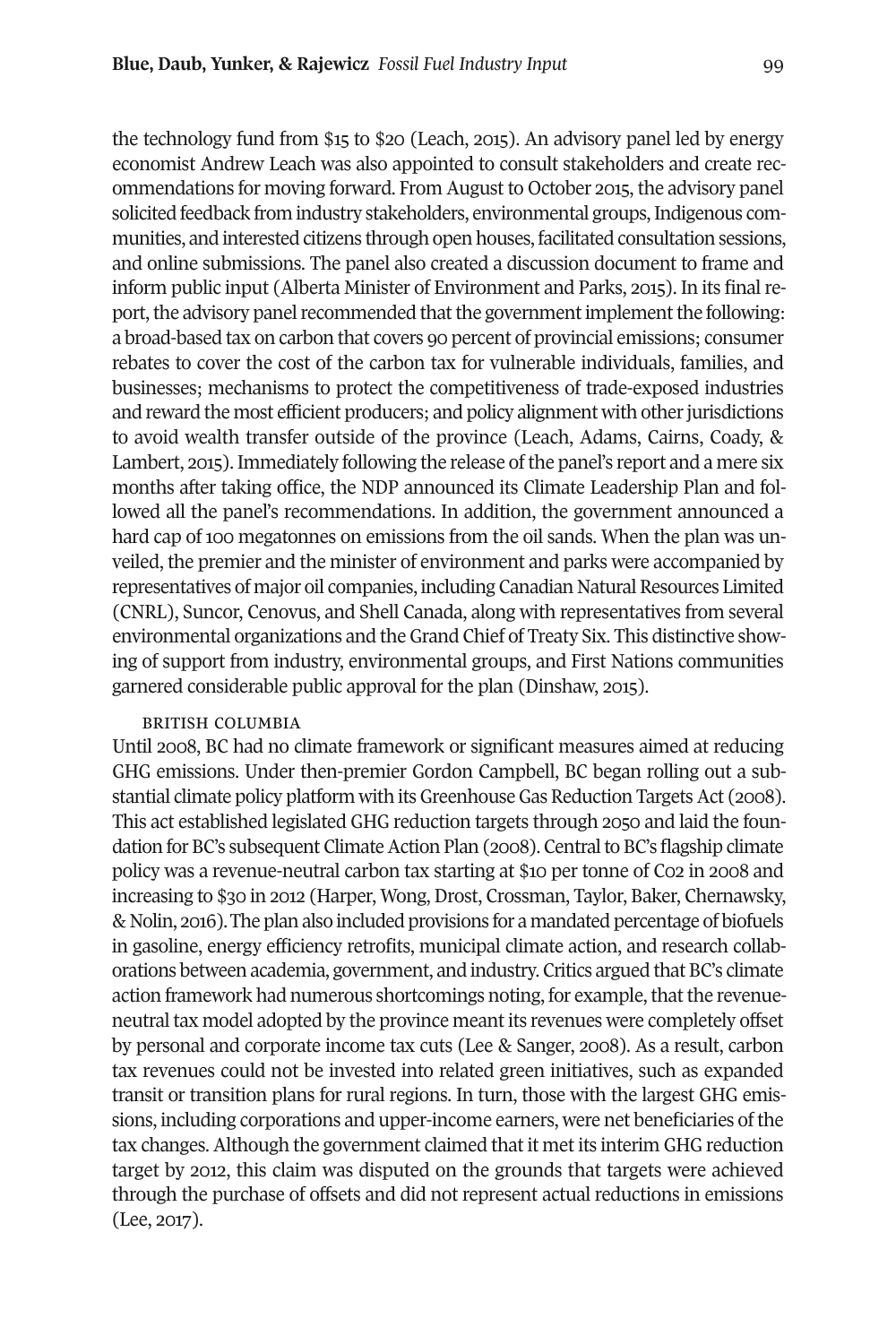the technology fund from \$15 to \$20 (Leach, 2015). An advisory panel led by energy economist Andrew Leach was also appointed to consult stakeholders and create recommendations for moving forward. From August to October 2015, the advisory panel solicited feedback from industry stakeholders, environmental groups, Indigenous communities, and interested citizens through open houses,facilitated consultation sessions, and online submissions. The panel also created a discussion document to frame and inform public input (Alberta Minister of Environment and Parks, 2015). In its final report, the advisory panel recommended that the government implement the following: a broad-based tax on carbon that covers 90 percent of provincial emissions; consumer rebates to cover the cost of the carbon tax for vulnerable individuals, families, and businesses; mechanisms to protect the competitiveness of trade-exposed industries and reward the most efficient producers; and policy alignment with other jurisdictions to avoid wealth transfer outside of the province (Leach, Adams, Cairns, Coady, & Lambert, 2015). Immediately following the release of the panel's report and a mere six months after taking office, the NDP announced its Climate Leadership Plan and followed all the panel's recommendations. In addition, the government announced a hard cap of 100 megatonnes on emissions from the oil sands. When the plan was unveiled, the premier and the minister of environment and parks were accompanied by representatives of major oil companies, including Canadian Natural Resources Limited (CNRL), Suncor, Cenovus, and Shell Canada, along with representatives from several environmental organizations and the Grand Chief of Treaty Six. This distinctive showing of support from industry, environmental groups, and First Nations communities garnered considerable public approval for the plan (Dinshaw, 2015).

#### british ColumbiA

Until 2008, BC had no climate framework or significant measures aimed at reducing GHG emissions. Under then-premier Gordon Campbell, BC began rolling out a substantial climate policy platform with its Greenhouse Gas Reduction Targets Act (2008). This act established legislated GHG reduction targets through 2050 and laid the foundation for BC's subsequent Climate Action Plan (2008). Central to BC's flagship climate policy was a revenue-neutral carbon tax starting at \$10 per tonne of C02 in 2008 and increasing to \$30 in 2012 (Harper, Wong, Drost, Crossman, Taylor, Baker, Chernawsky, & Nolin, 2016).The plan also included provisions for a mandated percentage of biofuels in gasoline, energy efficiency retrofits, municipal climate action, and research collaborations between academia, government, and industry. Critics argued that BC's climate action framework had numerous shortcomings noting, for example, that the revenueneutral tax model adopted by the province meant its revenues were completely offset by personal and corporate income tax cuts (Lee & Sanger, 2008). As a result, carbon tax revenues could not be invested into related green initiatives, such as expanded transit or transition plans for rural regions. In turn, those with the largest GHG emissions, including corporations and upper-income earners, were net beneficiaries ofthe tax changes. Although the government claimed that it met its interim GHG reduction target by 2012, this claim was disputed on the grounds that targets were achieved through the purchase of offsets and did not represent actual reductions in emissions (Lee, 2017).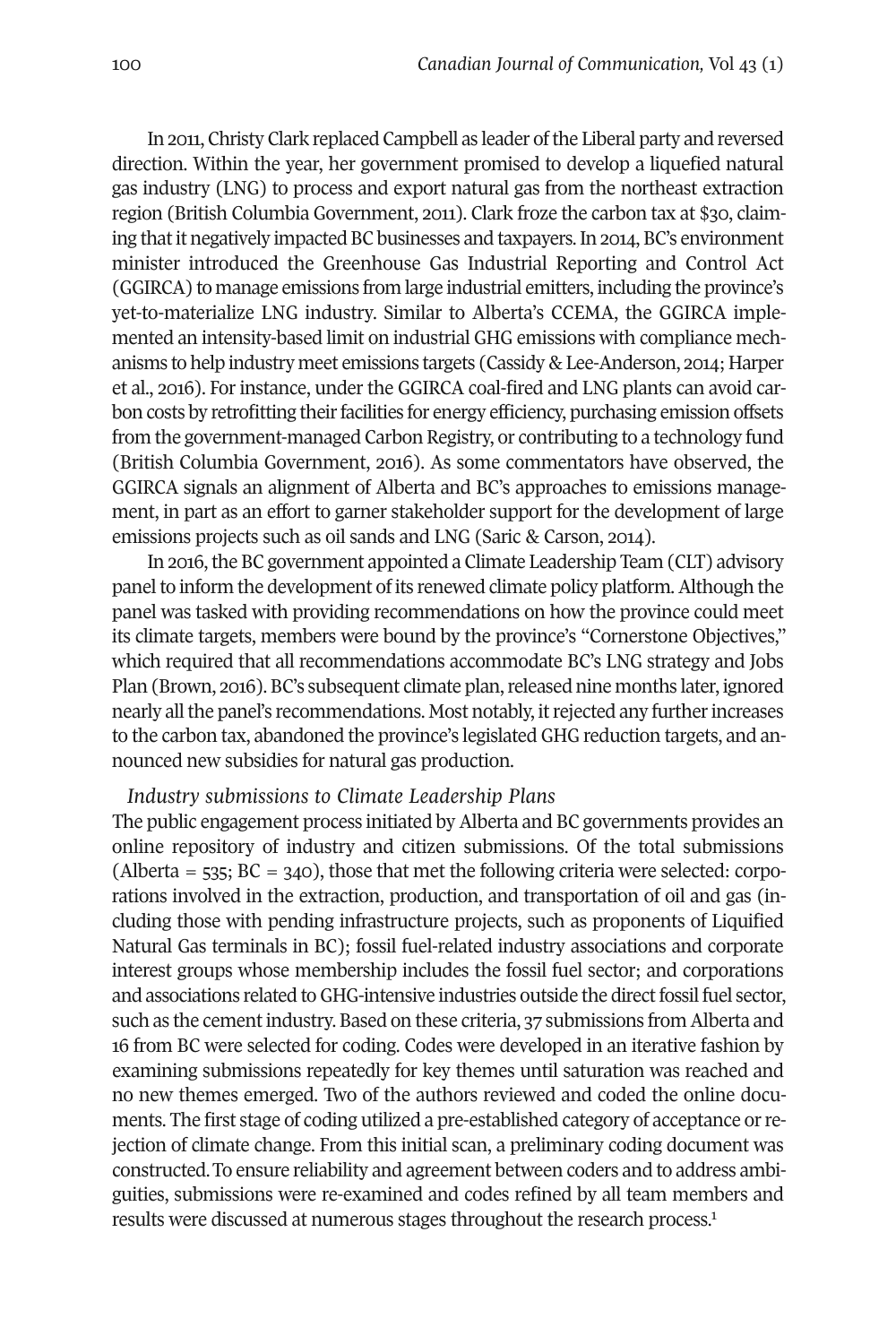In 2011, Christy Clark replaced Campbell as leader of the Liberal party and reversed direction. Within the year, her government promised to develop a liquefied natural gas industry (LNG) to process and export natural gas from the northeast extraction region (British Columbia Government, 2011). Clark froze the carbon tax at \$30, claiming thatit negatively impacted BC businesses and taxpayers.In 2014, BC's environment minister introduced the Greenhouse Gas Industrial Reporting and Control Act (GGIRCA) to manage emissions from large industrial emitters, including the province's yet-to-materialize LNG industry. Similar to Alberta's CCEMA, the GGIRCA implemented an intensity-based limit on industrial GHG emissions with compliance mechanisms to help industry meet emissions targets (Cassidy & Lee-Anderson, 2014; Harper et al., 2016). For instance, under the GGIRCA coal-fired and LNG plants can avoid carbon costs by retrofitting their facilities for energy efficiency, purchasing emission offsets from the government-managed Carbon Registry, or contributing to a technology fund (British Columbia Government, 2016). As some commentators have observed, the GGIRCA signals an alignment of Alberta and BC's approaches to emissions management, in part as an effort to garner stakeholder support for the development of large emissions projects such as oil sands and LNG (Saric & Carson, 2014).

In 2016, the BC government appointed a Climate Leadership Team (CLT) advisory panel to inform the development of its renewed climate policy platform. Although the panel was tasked with providing recommendations on how the province could meet its climate targets, members were bound by the province's "Cornerstone Objectives," which required that all recommendations accommodate BC's LNG strategy and Jobs Plan (Brown, 2016). BC's subsequent climate plan,released nine months later, ignored nearly all the panel's recommendations. Most notably, it rejected any further increases to the carbon tax, abandoned the province's legislated GHG reduction targets, and announced new subsidies for natural gas production.

# *Industry submissions to Climate Leadership Plans*

The public engagement process initiated by Alberta and BC governments provides an online repository of industry and citizen submissions. Of the total submissions (Alberta =  $535$ ; BC =  $340$ ), those that met the following criteria were selected: corporations involved in the extraction, production, and transportation of oil and gas (including those with pending infrastructure projects, such as proponents of Liquified Natural Gas terminals in BC); fossil fuel-related industry associations and corporate interest groups whose membership includes the fossil fuel sector; and corporations and associations related to GHG-intensive industries outside the direct fossil fuel sector, such as the cementindustry. Based on these criteria, 37 submissions from Alberta and 16 from BC were selected for coding. Codes were developed in an iterative fashion by examining submissions repeatedly for key themes until saturation was reached and no new themes emerged. Two of the authors reviewed and coded the online documents. The first stage of coding utilized a pre-established category of acceptance orrejection of climate change. From this initial scan, a preliminary coding document was constructed.To ensure reliability and agreement between coders and to address ambiguities, submissions were re-examined and codes refined by all team members and results were discussed at numerous stages throughout the research process.<sup>[1](#page-13-0)</sup>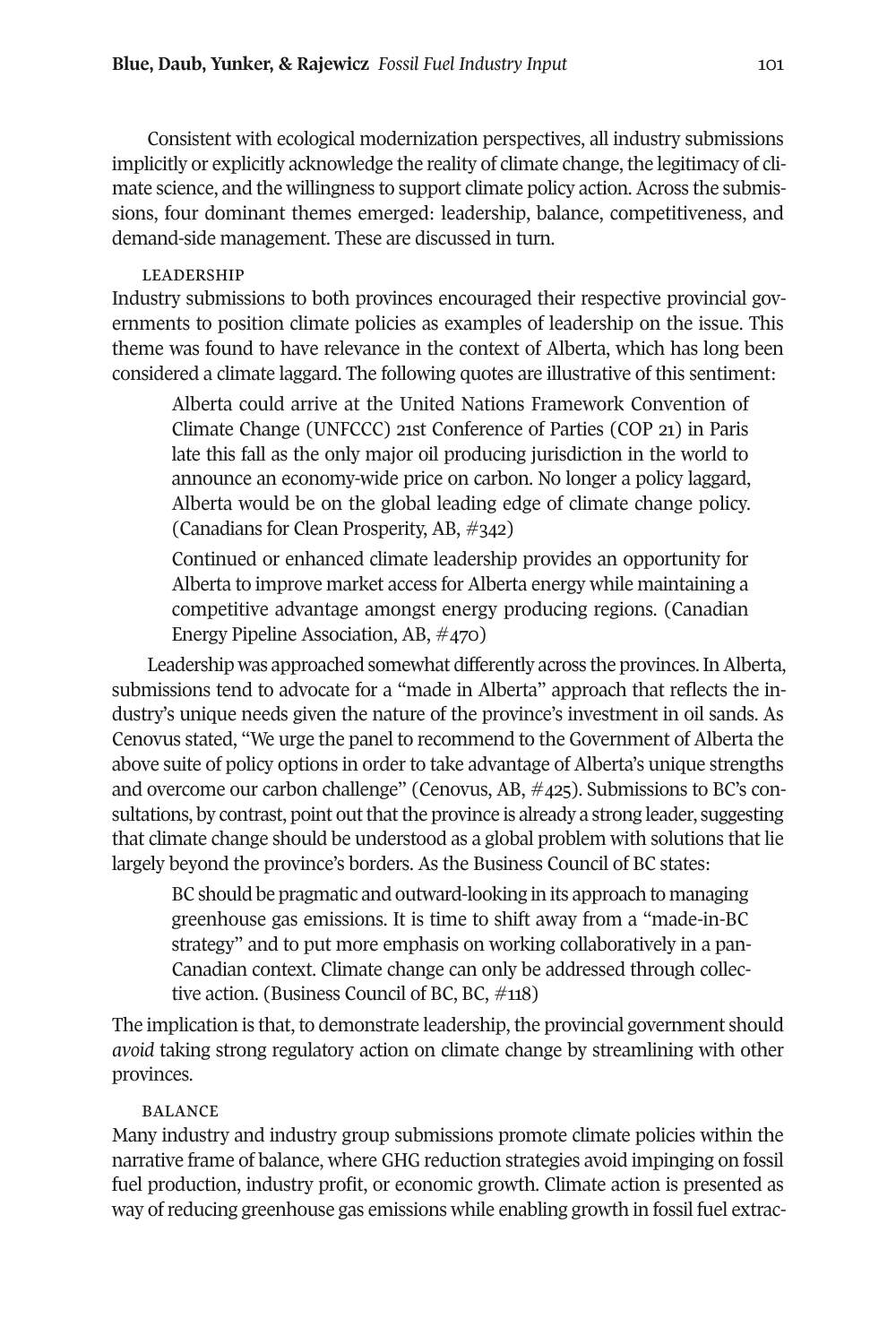Consistent with ecological modernization perspectives, all industry submissions implicitly or explicitly acknowledge the reality of climate change, the legitimacy of climate science, and the willingness to support climate policy action. Across the submissions, four dominant themes emerged: leadership, balance, competitiveness, and demand-side management. These are discussed in turn.

#### **LEADERSHIP**

Industry submissions to both provinces encouraged their respective provincial governments to position climate policies as examples of leadership on the issue. This theme was found to have relevance in the context of Alberta, which has long been considered a climate laggard. The following quotes are illustrative of this sentiment:

Alberta could arrive at the United Nations Framework Convention of Climate Change (UNFCCC) 21st Conference of Parties (COP 21) in Paris late this fall as the only major oil producing jurisdiction in the world to announce an economy-wide price on carbon. No longer a policy laggard, Alberta would be on the global leading edge of climate change policy. (Canadians for Clean Prosperity, AB, #342)

Continued or enhanced climate leadership provides an opportunity for Alberta to improve market access for Alberta energy while maintaining a competitive advantage amongst energy producing regions. (Canadian Energy Pipeline Association, AB, #470)

Leadership was approached somewhat differently across the provinces. In Alberta, submissions tend to advocate for a "made in Alberta" approach that reflects the industry's unique needs given the nature of the province's investment in oil sands. As Cenovus stated, "We urge the panel to recommend to the Government of Alberta the above suite of policy options in order to take advantage of Alberta's unique strengths and overcome our carbon challenge" (Cenovus, AB, #425). Submissions to BC's consultations, by contrast, point out that the province is already a strong leader, suggesting that climate change should be understood as a global problem with solutions that lie largely beyond the province's borders. As the Business Council of BC states:

BC should be pragmatic and outward-looking in its approach to managing greenhouse gas emissions. It is time to shift away from a "made-in-BC strategy" and to put more emphasis on working collaboratively in a pan-Canadian context. Climate change can only be addressed through collective action. (Business Council of BC, BC, #118)

The implication is that, to demonstrate leadership, the provincial government should *avoid* taking strong regulatory action on climate change by streamlining with other provinces.

#### **BALANCE**

Many industry and industry group submissions promote climate policies within the narrative frame of balance, where GHG reduction strategies avoid impinging on fossil fuel production, industry profit, or economic growth. Climate action is presented as way ofreducing greenhouse gas emissions while enabling growth in fossil fuel extrac-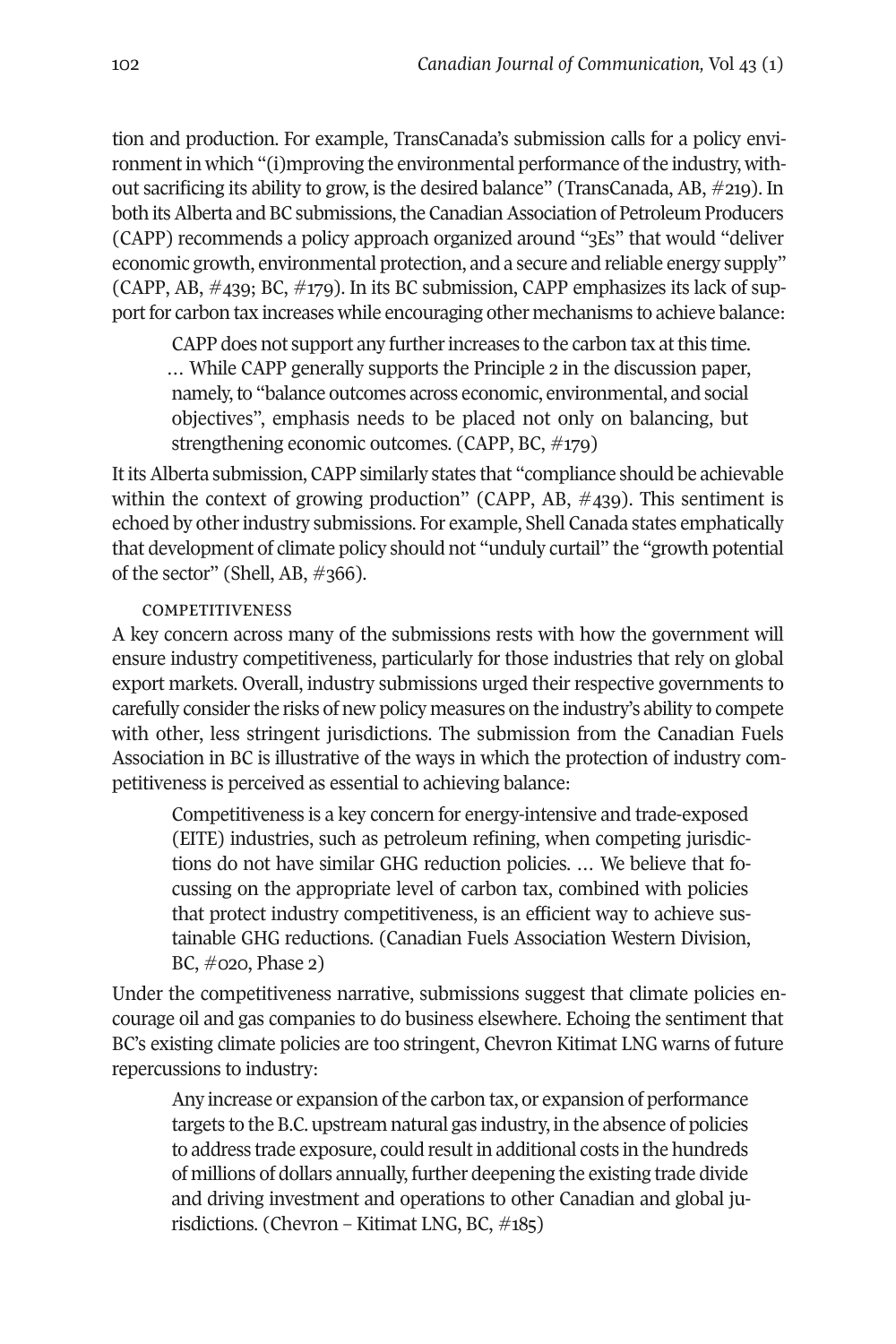tion and production. For example, TransCanada's submission calls for a policy environment in which "(i)mproving the environmental performance of the industry, without sacrificing its ability to grow, is the desired balance" (TransCanada, AB, #219). In both its Alberta and BC submissions, the Canadian Association of Petroleum Producers (CAPP) recommends a policy approach organized around "3Es" that would "deliver economic growth, environmental protection, and a secure and reliable energy supply" (CAPP, AB,  $\#$ 439; BC,  $\#$ 179). In its BC submission, CAPP emphasizes its lack of support for carbon tax increases while encouraging other mechanisms to achieve balance:

CAPP does not support any further increases to the carbon tax at this time. … While CAPP generally supports the Principle 2 in the discussion paper, namely, to "balance outcomes across economic, environmental, and social objectives", emphasis needs to be placed not only on balancing, but strengthening economic outcomes. (CAPP, BC, #179)

ItitsAlberta submission, CAPP similarly states that "compliance should be achievable within the context of growing production" (CAPP, AB,  $\#439$ ). This sentiment is echoed by otherindustry submissions. For example, Shell Canada states emphatically that development of climate policy should not "unduly curtail" the "growth potential of the sector" (Shell, AB, #366).

# **COMPETITIVENESS**

A key concern across many of the submissions rests with how the government will ensure industry competitiveness, particularly for those industries that rely on global export markets. Overall, industry submissions urged their respective governments to carefully consider the risks of new policy measures on the industry's ability to compete with other, less stringent jurisdictions. The submission from the Canadian Fuels Association in BC is illustrative of the ways in which the protection of industry competitiveness is perceived as essential to achieving balance:

Competitiveness is a key concern for energy-intensive and trade-exposed (EITE) industries, such as petroleum refining, when competing jurisdictions do not have similar GHG reduction policies. … We believe that focussing on the appropriate level of carbon tax, combined with policies that protect industry competitiveness, is an efficient way to achieve sustainable GHG reductions. (Canadian Fuels Association Western Division, BC,  $\#$ 020, Phase 2)

Under the competitiveness narrative, submissions suggest that climate policies encourage oil and gas companies to do business elsewhere. Echoing the sentiment that BC's existing climate policies are too stringent, Chevron Kitimat LNG warns of future repercussions to industry:

Any increase or expansion of the carbon tax, or expansion of performance targets to the B.C. upstream natural gas industry, in the absence of policies to address trade exposure, could result in additional costs in the hundreds of millions of dollars annually, further deepening the existing trade divide and driving investment and operations to other Canadian and global jurisdictions. (Chevron – Kitimat LNG, BC, #185)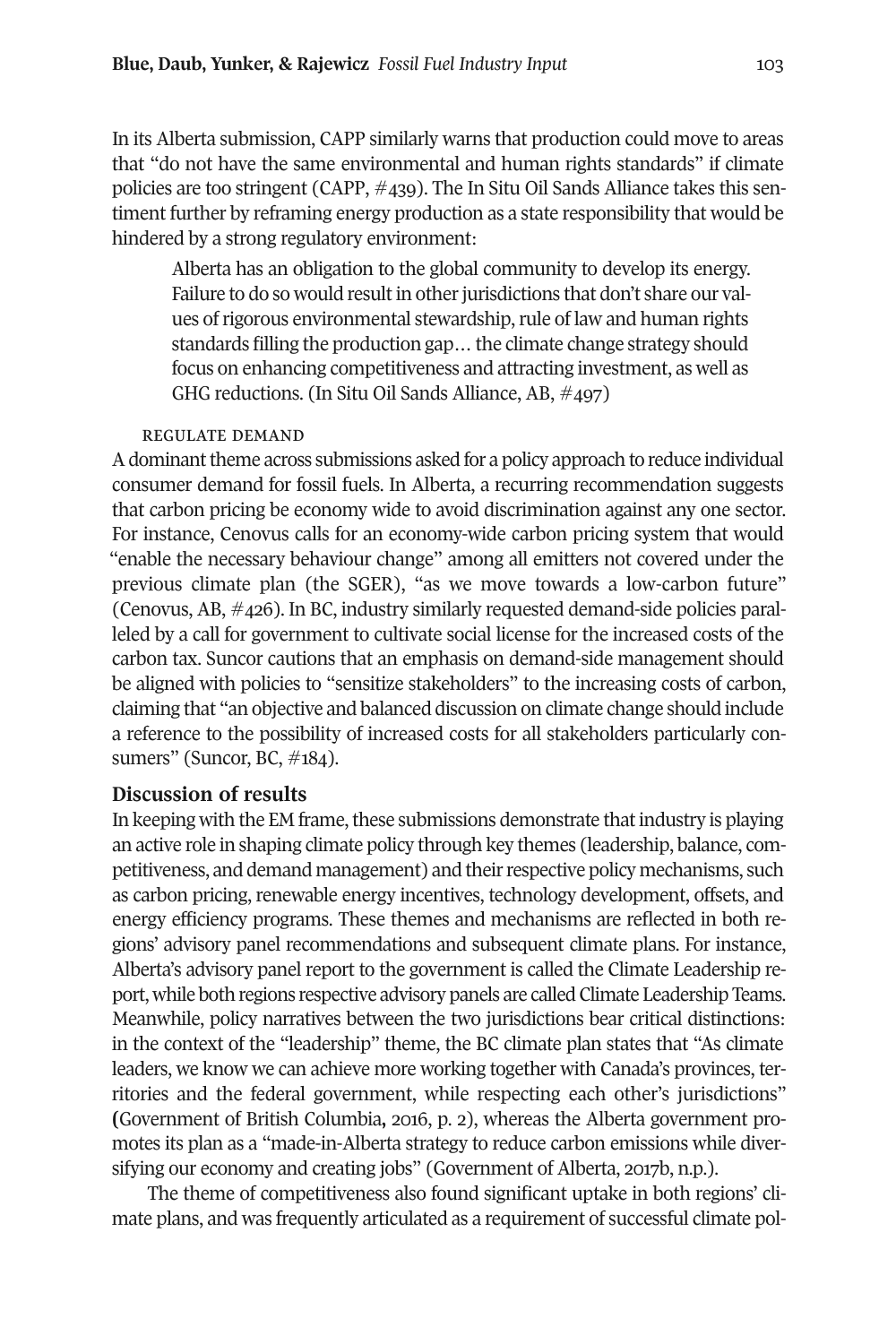In its Alberta submission, CAPP similarly warns that production could move to areas that "do not have the same environmental and human rights standards" if climate policies are too stringent (CAPP, #439). The In Situ Oil Sands Alliance takes this sentiment further by reframing energy production as a state responsibility that would be hindered by a strong regulatory environment:

Alberta has an obligation to the global community to develop its energy. Failure to do so would result in other jurisdictions that don't share our values of rigorous environmental stewardship, rule of law and human rights standards filling the production gap… the climate change strategy should focus on enhancing competitiveness and attracting investment, as well as GHG reductions. (In Situ Oil Sands Alliance, AB, #497)

#### regulAte demAnd

Adominanttheme across submissions asked for a policy approach to reduce individual consumer demand for fossil fuels. In Alberta, a recurring recommendation suggests that carbon pricing be economy wide to avoid discrimination against any one sector. For instance, Cenovus calls for an economy-wide carbon pricing system that would "enable the necessary behaviour change" among all emitters not covered under the previous climate plan (the SGER), "as we move towards a low-carbon future" (Cenovus, AB, #426). In BC, industry similarly requested demand-side policies paralleled by a call for government to cultivate social license for the increased costs of the carbon tax. Suncor cautions that an emphasis on demand-side management should be aligned with policies to "sensitize stakeholders" to the increasing costs of carbon, claiming that "an objective and balanced discussion on climate change should include a reference to the possibility of increased costs for all stakeholders particularly consumers" (Suncor, BC, #184).

#### **Discussion of results**

In keeping with the EM frame, these submissions demonstrate that industry is playing an active role in shaping climate policy through key themes (leadership, balance, competitiveness, and demand management) and theirrespective policy mechanisms, such as carbon pricing, renewable energy incentives, technology development, offsets, and energy efficiency programs. These themes and mechanisms are reflected in both regions' advisory panel recommendations and subsequent climate plans. For instance, Alberta's advisory panel report to the government is called the Climate Leadership report, while both regions respective advisory panels are called Climate Leadership Teams. Meanwhile, policy narratives between the two jurisdictions bear critical distinctions: in the context of the "leadership" theme, the BC climate plan states that "As climate leaders, we know we can achieve more working together with Canada's provinces, territories and the federal government, while respecting each other's jurisdictions" **(**Government of British Columbia**,** 2016, p. 2), whereas the Alberta government promotes its plan as a "made-in-Alberta strategy to reduce carbon emissions while diversifying our economy and creating jobs" (Government of Alberta, 2017b, n.p.).

The theme of competitiveness also found significant uptake in both regions' climate plans, and was frequently articulated as a requirement of successful climate pol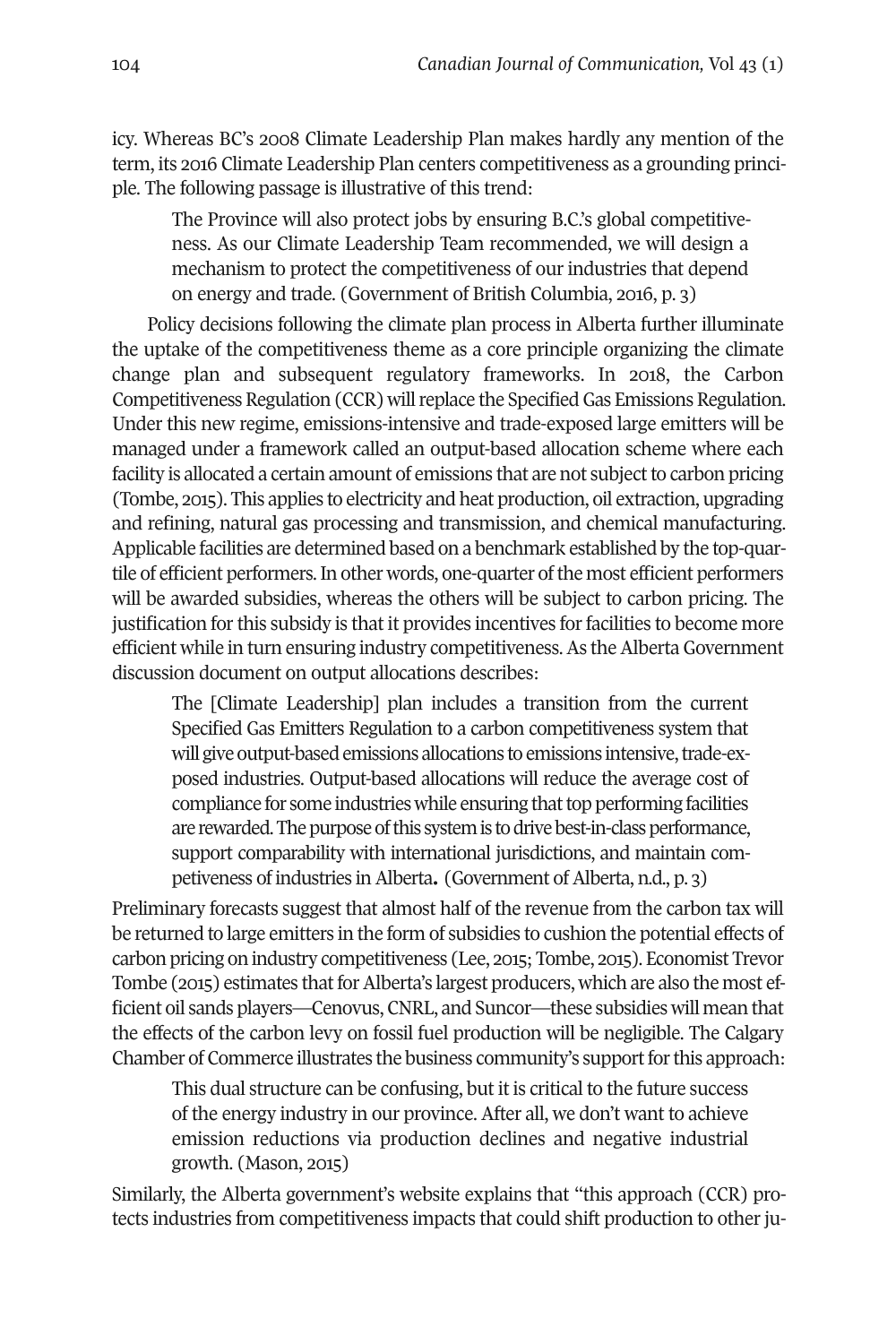icy. Whereas BC's 2008 Climate Leadership Plan makes hardly any mention of the term, its 2016 Climate Leadership Plan centers competitiveness as a grounding principle. The following passage is illustrative of this trend:

The Province will also protect jobs by ensuring B.C.'s global competitiveness. As our Climate Leadership Team recommended, we will design a mechanism to protect the competitiveness of our industries that depend on energy and trade. (Government of British Columbia, 2016, p. 3)

Policy decisions following the climate plan process in Alberta further illuminate the uptake of the competitiveness theme as a core principle organizing the climate change plan and subsequent regulatory frameworks. In 2018, the Carbon Competitiveness Regulation (CCR) will replace the Specified Gas Emissions Regulation. Under this new regime, emissions-intensive and trade-exposed large emitters will be managed under a framework called an output-based allocation scheme where each facility is allocated a certain amount of emissions that are not subject to carbon pricing (Tombe, 2015). This applies to electricity and heat production, oil extraction, upgrading and refining, natural gas processing and transmission, and chemical manufacturing. Applicable facilities are determined based on a benchmark established by the top-quartile of efficient performers. In other words, one-quarter of the most efficient performers will be awarded subsidies, whereas the others will be subject to carbon pricing. The justification forthis subsidy is that it provides incentives forfacilities to become more efficient while in turn ensuring industry competitiveness. As the Alberta Government discussion document on output allocations describes:

The [Climate Leadership] plan includes a transition from the current Specified Gas Emitters Regulation to a carbon competitiveness system that will give output-based emissions allocations to emissions intensive, trade-exposed industries. Output-based allocations will reduce the average cost of compliance for some industries while ensuring that top performing facilities are rewarded. The purpose of this system is to drive best-in-class performance, support comparability with international jurisdictions, and maintain competiveness of industries in Alberta. (Government of Alberta, n.d., p. 3)

Preliminary forecasts suggest that almost half of the revenue from the carbon tax will be returned to large emitters in the form of subsidies to cushion the potential effects of carbon pricing on industry competitiveness (Lee, 2015; Tombe, 2015). Economist Trevor Tombe (2015) estimates that for Alberta's largest producers, which are also the most efficient oil sands players—Cenovus, CNRL, and Suncor—these subsidies will mean that the effects of the carbon levy on fossil fuel production will be negligible. The Calgary Chamber of Commerce illustrates the business community's support for this approach:

This dual structure can be confusing, but it is critical to the future success of the energy industry in our province. After all, we don't want to achieve emission reductions via production declines and negative industrial growth. (Mason, 2015)

Similarly, the Alberta government's website explains that "this approach (CCR) protects industries from competitiveness impacts that could shift production to other ju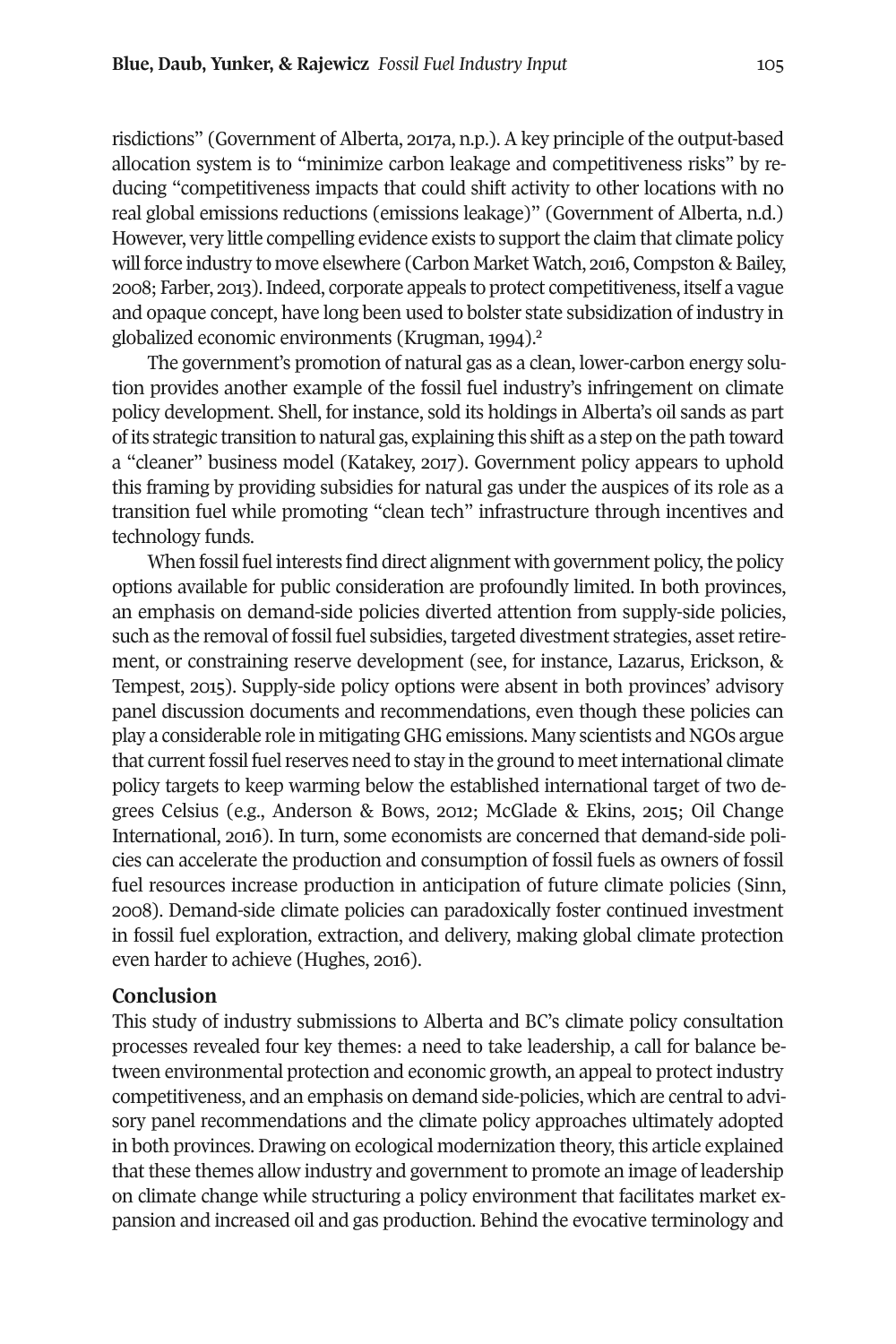risdictions" (Government of Alberta, 2017a, n.p.). A key principle of the output-based allocation system is to "minimize carbon leakage and competitiveness risks" by reducing "competitiveness impacts that could shift activity to other locations with no real global emissions reductions (emissions leakage)" (Government of Alberta, n.d.) However, very little compelling evidence exists to support the claim that climate policy will force industry to move elsewhere (Carbon Market Watch, 2016, Compston & Bailey, 2008; Farber, 2013).Indeed, corporate appeals to protect competitiveness, itself a vague and opaque concept, have long been used to bolster state subsidization of industry in globalized economic environments (Krugman, 1994). [2](#page-13-1)

The government's promotion of natural gas as a clean, lower-carbon energy solution provides another example of the fossil fuel industry's infringement on climate policy development. Shell, for instance, sold its holdings in Alberta's oil sands as part ofits strategic transition to natural gas, explaining this shift as a step on the path toward a "cleaner" business model (Katakey, 2017). Government policy appears to uphold this framing by providing subsidies for natural gas under the auspices of its role as a transition fuel while promoting "clean tech" infrastructure through incentives and technology funds.

When fossil fuel interests find direct alignment with government policy, the policy options available for public consideration are profoundly limited. In both provinces, an emphasis on demand-side policies diverted attention from supply-side policies, such as the removal of fossil fuel subsidies, targeted divestment strategies, asset retirement, or constraining reserve development (see, for instance, Lazarus, Erickson, & Tempest, 2015). Supply-side policy options were absent in both provinces' advisory panel discussion documents and recommendations, even though these policies can play a considerable role in mitigatingGHGemissions. Many scientists and NGOs argue that current fossil fuel reserves need to stay in the ground to meet international climate policy targets to keep warming below the established international target of two degrees Celsius (e.g., Anderson & Bows, 2012; McGlade & Ekins, 2015; Oil Change International, 2016). In turn, some economists are concerned that demand-side policies can accelerate the production and consumption of fossil fuels as owners of fossil fuel resources increase production in anticipation of future climate policies (Sinn, 2008). Demand-side climate policies can paradoxically foster continued investment in fossil fuel exploration, extraction, and delivery, making global climate protection even harder to achieve (Hughes, 2016).

#### **Conclusion**

This study of industry submissions to Alberta and BC's climate policy consultation processes revealed four key themes: a need to take leadership, a call for balance between environmental protection and economic growth, an appeal to protect industry competitiveness, and an emphasis on demand side-policies, which are central to advisory panel recommendations and the climate policy approaches ultimately adopted in both provinces. Drawing on ecological modernization theory, this article explained that these themes allow industry and government to promote an image of leadership on climate change while structuring a policy environment that facilitates market expansion and increased oil and gas production. Behind the evocative terminology and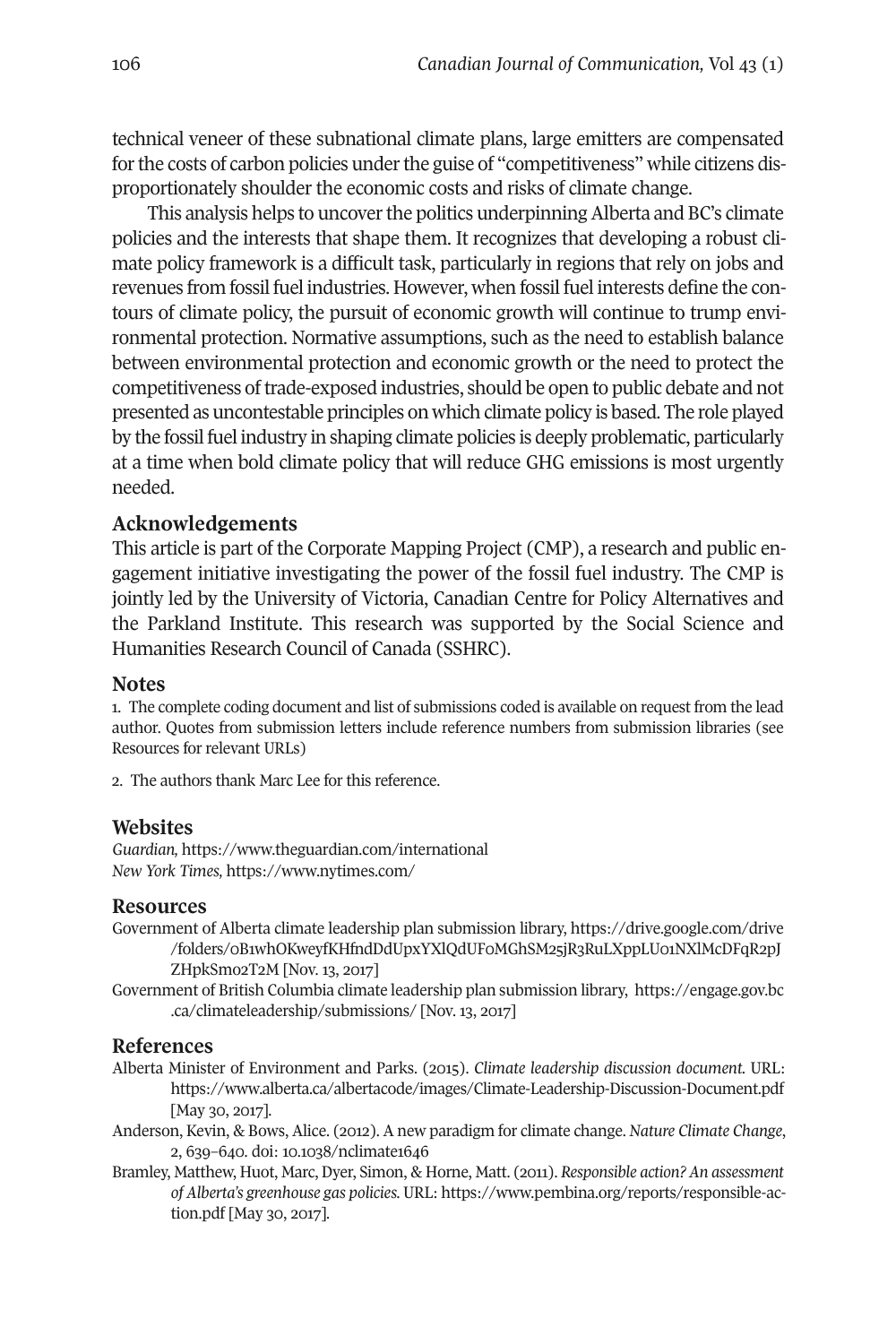technical veneer of these subnational climate plans, large emitters are compensated for the costs of carbon policies under the guise of "competitiveness" while citizens disproportionately shoulder the economic costs and risks of climate change.

This analysis helps to uncover the politics underpinning Alberta and BC's climate policies and the interests that shape them. It recognizes that developing a robust climate policy framework is a difficult task, particularly in regions that rely on jobs and revenues from fossil fuel industries. However, when fossil fuel interests define the contours of climate policy, the pursuit of economic growth will continue to trump environmental protection. Normative assumptions, such as the need to establish balance between environmental protection and economic growth or the need to protect the competitiveness of trade-exposed industries, should be open to public debate and not presented as uncontestable principles on which climate policy is based. The role played by the fossil fuel industry in shaping climate policies is deeply problematic, particularly at a time when bold climate policy that will reduce GHG emissions is most urgently needed.

# **Acknowledgements**

This article is part of the Corporate Mapping Project (CMP), a research and public engagement initiative investigating the power of the fossil fuel industry. The CMP is jointly led by the University of Victoria, Canadian Centre for Policy Alternatives and the Parkland Institute. This research was supported by the Social Science and Humanities Research Council of Canada (SSHRC).

#### **Notes**

<span id="page-13-0"></span>1. The complete coding document and list of submissions coded is available on request from the lead author. Quotes from submission letters include reference numbers from submission libraries (see Resources for relevant URLs)

<span id="page-13-1"></span>2. The authors thank Marc Lee for this reference.

#### **Websites**

*Guardian,* <https://www.theguardian.com/international> *New York Times,* <https://www.nytimes.com/>

#### **Resources**

- Government of Alberta climate leadership plan submission library, [https://drive.google.com/drive](https://drive.google.com/drive/folders/0B1whOKweyfKHfndDdUpxYXlQdUF0MGhSM25jR3RuLXppLU01NXlMcDFqR2pJZHpkSmo2T2M) [/folders/0B1whOKweyfKHfndDdUpxYXlQdUF0MGhSM25jR3RuLXppLU01NXlMcDFqR2pJ](https://drive.google.com/drive/folders/0B1whOKweyfKHfndDdUpxYXlQdUF0MGhSM25jR3RuLXppLU01NXlMcDFqR2pJZHpkSmo2T2M) [ZHpkSmo2T2M](https://drive.google.com/drive/folders/0B1whOKweyfKHfndDdUpxYXlQdUF0MGhSM25jR3RuLXppLU01NXlMcDFqR2pJZHpkSmo2T2M) [Nov. 13, 2017]
- Government of British Columbia climate leadership plan submission library, [https://engage.gov.bc](https://engage.gov.bc.ca/climateleadership/submissions/) [.ca/climateleadership/submissions/](https://engage.gov.bc.ca/climateleadership/submissions/) [Nov. 13, 2017]

#### **References**

- Alberta Minister of Environment and Parks. (2015). *Climate leadership discussion document.* URL: [https://www.alberta.ca/albertacode/images/Climate-Leadership-Discussion-Document.pdf](https://www.alberta.ca/albertacode/images/Climate-Leadership-Discussion-Document.pdf ) [May 30, 2017].
- Anderson, Kevin, & Bows, Alice. (2012). A new paradigm for climate change. *Nature Climate Change*, 2, 639–640. doi: [10.1038/nclimate1646](http://doi.org/10.1038/nclimate1646)
- Bramley, Matthew, Huot, Marc, Dyer, Simon, & Horne, Matt. (2011). *Responsible action? An assessment of Alberta's greenhouse gas policies.* URL: [https://www.pembina.org/reports/responsible-ac](https://www.pembina.org/reports/responsible-action.pdf)[tion.pdf](https://www.pembina.org/reports/responsible-action.pdf) [May 30, 2017].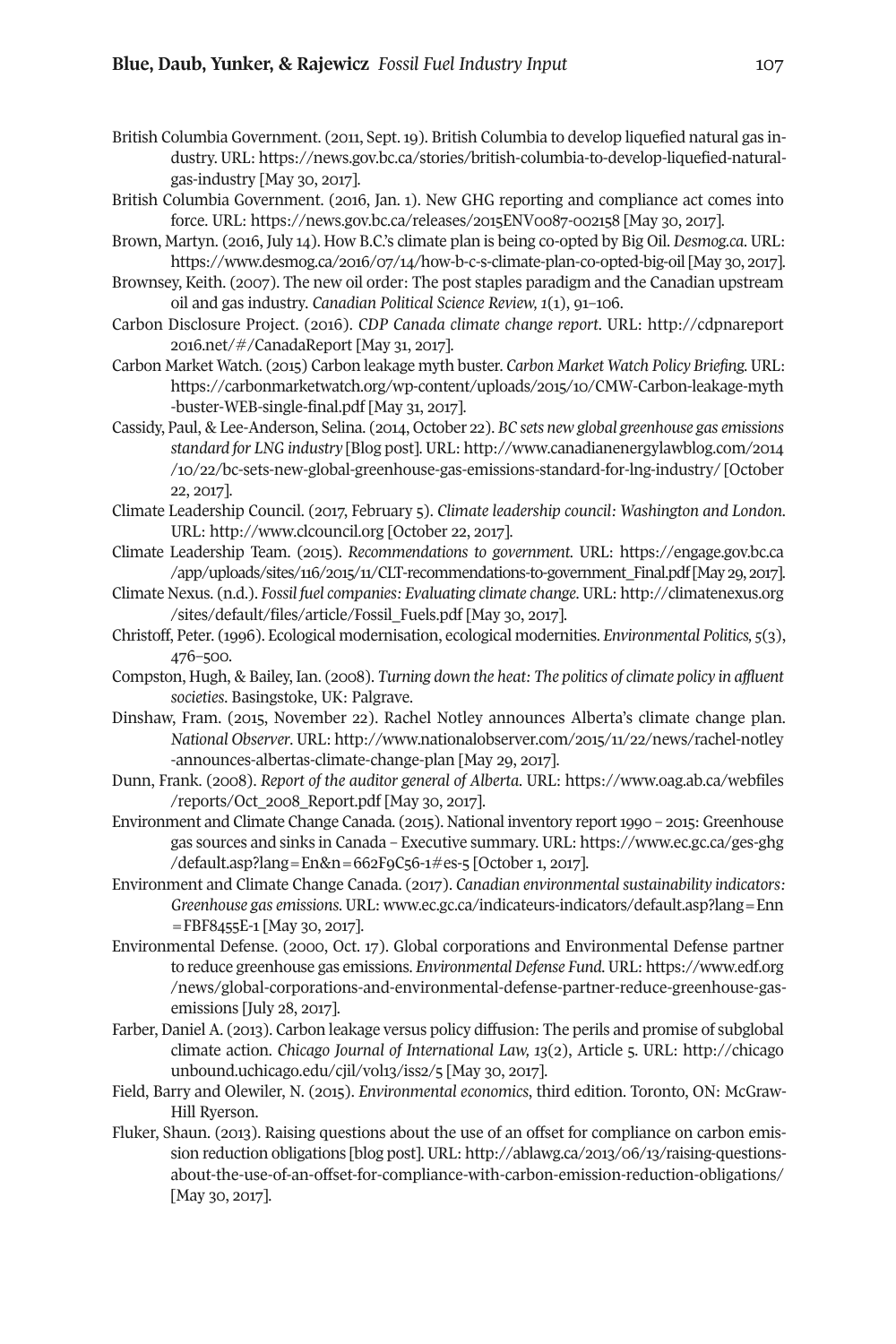- British Columbia Government. (2011, Sept. 19). British Columbia to develop liquefied natural gas industry. URL: [https://news.gov.bc.ca/stories/british-columbia-to-develop-liquefied-natural](https://news.gov.bc.ca/stories/british-columbia-to-develop-liquefied-natural-gas-industry)[gas-industry](https://news.gov.bc.ca/stories/british-columbia-to-develop-liquefied-natural-gas-industry) [May 30, 2017].
- British Columbia Government. (2016, Jan. 1). New GHG reporting and compliance act comes into force. URL: <https://news.gov.bc.ca/releases/2015ENV0087-002158> [May 30, 2017].
- Brown, Martyn. (2016, July 14). How B.C.'s climate plan is being co-opted by Big Oil. *Desmog.ca*. URL: <https://www.desmog.ca/2016/07/14/how-b-c-s-climate-plan-co-opted-big-oil> [May 30, 2017].
- Brownsey, Keith. (2007). The new oil order: The post staples paradigm and the Canadian upstream oil and gas industry. *Canadian Political Science Review, 1*(1), 91–106.
- Carbon Disclosure Project. (2016). *CDP Canada climate change report*. URL: [http://cdpnareport](http://cdpnareport2016.net/#/CanadaReport) [2016.net/#/CanadaReport](http://cdpnareport2016.net/#/CanadaReport) [May 31, 2017].
- Carbon Market Watch. (2015) Carbon leakage myth buster. *Carbon Market Watch Policy Briefing.* URL: [https://carbonmarketwatch.org/wp-content/uploads/2015/10/CMW-Carbon-leakage-myth](https://carbonmarketwatch.org/wp-content/uploads/2015/10/CMW-Carbon-leakage-myth-buster-WEB-single-final.pdf) [-buster-WEB-single-final.pdf](https://carbonmarketwatch.org/wp-content/uploads/2015/10/CMW-Carbon-leakage-myth-buster-WEB-single-final.pdf) [May 31, 2017].
- Cassidy, Paul, & Lee-Anderson, Selina. (2014, October 22). *BC sets new global greenhouse gas emissions standard for LNG industry* [Blog post]. URL: [http://www.canadianenergylawblog.com/2014](http://www.canadianenergylawblog.com/2014/10/22/bc-sets-new-global-greenhouse-gas-emissions-standard-for-lng-industry/) [/10/22/bc-sets-new-global-greenhouse-gas-emissions-standard-for-lng-industry/](http://www.canadianenergylawblog.com/2014/10/22/bc-sets-new-global-greenhouse-gas-emissions-standard-for-lng-industry/) [October 22, 2017].
- Climate Leadership Council. (2017, February 5). *Climate leadership council: Washington and London*. URL: <http://www.clcouncil.org> [October 22, 2017].
- Climate Leadership Team. (2015). *Recommendations to government*. URL: [https://engage.gov.bc.ca](https://engage.gov.bc.ca/app/uploads/sites/116/2015/11/CLT-recommendations-to-government_Final.pdf) [/app/uploads/sites/116/2015/11/CLT-recommendations-to-government\\_Final.pdf](https://engage.gov.bc.ca/app/uploads/sites/116/2015/11/CLT-recommendations-to-government_Final.pdf)[May 29, 2017].
- Climate Nexus. (n.d.). *Fossil fuel companies: Evaluating climate change*. URL: [http://climatenexus.org](http://climatenexus.org/sites/default/files/article/Fossil_Fuels.pdf) [/sites/default/files/article/Fossil\\_Fuels.pdf](http://climatenexus.org/sites/default/files/article/Fossil_Fuels.pdf) [May 30, 2017].
- Christoff, Peter. (1996). Ecological modernisation, ecological modernities. *Environmental Politics, 5*(3), 476–500.
- Compston, Hugh, & Bailey, Ian. (2008). *Turning down the heat: The politics of climate policy in affluent societies*. Basingstoke, UK: Palgrave.
- Dinshaw, Fram. (2015, November 22). Rachel Notley announces Alberta's climate change plan. *National Observer*. URL: [http://www.nationalobserver.com/2015/11/22/news/rachel-notley](http://www.nationalobserver.com/2015/11/22/news/rachel-notley-announces-albertas-climate-change-plan) [-announces-albertas-climate-change-plan](http://www.nationalobserver.com/2015/11/22/news/rachel-notley-announces-albertas-climate-change-plan) [May 29, 2017].
- Dunn, Frank. (2008). *Report of the auditor general of Alberta*. URL: [https://www.oag.ab.ca/webfiles](https://www.oag.ab.ca/webfiles/reports/Oct_2008_Report.pdf) [/reports/Oct\\_2008\\_Report.pdf](https://www.oag.ab.ca/webfiles/reports/Oct_2008_Report.pdf) [May 30, 2017].
- Environment and Climate Change Canada. (2015). National inventory report 1990 2015: Greenhouse gas sources and sinks in Canada – Executive summary. URL: [https://www.ec.gc.ca/ges-ghg](https://www.ec.gc.ca/ges-ghg/default.asp?lang=En&n=662F9C56-1#es-5) [/default.asp?lang=En&n=662F9C56-1#es-5](https://www.ec.gc.ca/ges-ghg/default.asp?lang=En&n=662F9C56-1#es-5) [October 1, 2017].
- Environment and Climate Change Canada. (2017). *Canadian environmental sustainability indicators: Greenhouse gas emissions*. URL: [www.ec.gc.ca/indicateurs-indicators/default.asp?lang=Enn](www.ec.gc.ca/indicateurs-indicators/default.asp?lang=Enn=FBF8455E-1) [=FBF8455E-1](www.ec.gc.ca/indicateurs-indicators/default.asp?lang=Enn=FBF8455E-1) [May 30, 2017].
- Environmental Defense. (2000, Oct. 17). Global corporations and Environmental Defense partner to reduce greenhouse gas emissions. *Environmental Defense Fund*. URL: [https://www.edf.org](https://www.edf.org/news/global-corporations-and-environmental-defense-partner-reduce-greenhouse-gas-emissions) [/news/global-corporations-and-environmental-defense-partner-reduce-greenhouse-gas](https://www.edf.org/news/global-corporations-and-environmental-defense-partner-reduce-greenhouse-gas-emissions)[emissions](https://www.edf.org/news/global-corporations-and-environmental-defense-partner-reduce-greenhouse-gas-emissions) [July 28, 2017].
- Farber, Daniel A. (2013). Carbon leakage versus policy diffusion: The perils and promise of subglobal climate action. *Chicago Journal of International Law, 13*(2), Article 5. URL: [http://chicago](http://chicagounbound.uchicago.edu/cjil/vol13/iss2/5) [unbound.uchicago.edu/cjil/vol13/iss2/5](http://chicagounbound.uchicago.edu/cjil/vol13/iss2/5) [May 30, 2017].
- Field, Barry and Olewiler, N. (2015). *Environmental economics*, third edition. Toronto, ON: McGraw-Hill Ryerson.
- Fluker, Shaun. (2013). Raising questions about the use of an offset for compliance on carbon emission reduction obligations [blog post]. URL: [http://ablawg.ca/2013/06/13/raising-questions](http://ablawg.ca/2013/06/13/raising-questions-about-the-use-of-an-offset-for-compliance-with-carbon-emission-reduction-obligations/)[about-the-use-of-an-offset-for-compliance-with-carbon-emission-reduction-obligations/](http://ablawg.ca/2013/06/13/raising-questions-about-the-use-of-an-offset-for-compliance-with-carbon-emission-reduction-obligations/) [May 30, 2017].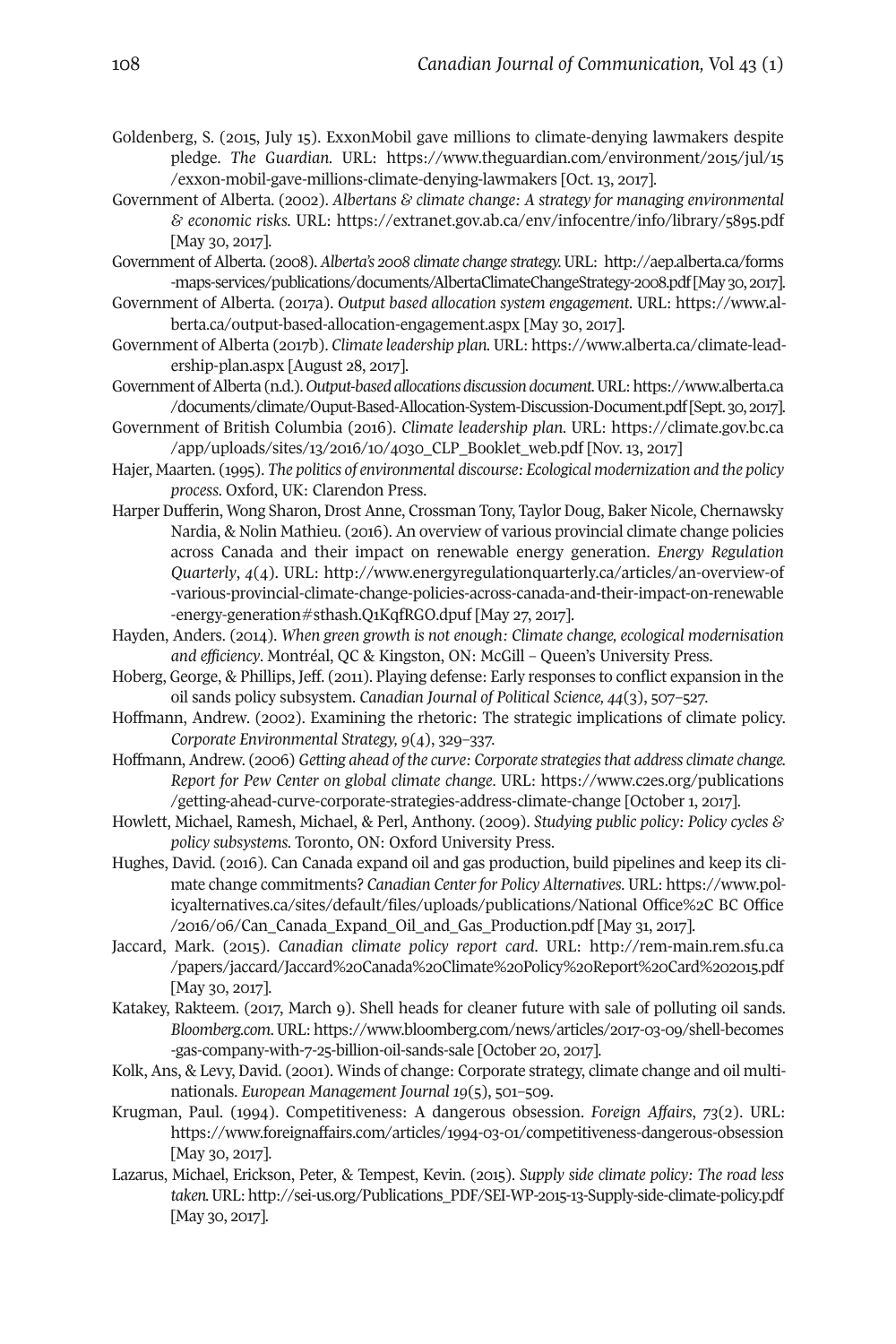- Goldenberg, S. (2015, July 15). ExxonMobil gave millions to climate-denying lawmakers despite pledge. *The Guardian.* URL: [https://www.theguardian.com/environment/2015/jul/15](https://www.theguardian.com/environment/2015/jul/15/exxon-mobil-gave-millions-climate-denying-lawmakers) [/exxon-mobil-gave-millions-climate-denying-lawmakers](https://www.theguardian.com/environment/2015/jul/15/exxon-mobil-gave-millions-climate-denying-lawmakers) [Oct. 13, 2017].
- Government of Alberta. (2002). *Albertans & climate change: A strategy for managing environmental & economic risks.* URL: <https://extranet.gov.ab.ca/env/infocentre/info/library/5895.pdf> [May 30, 2017].
- Government ofAlberta. (2008). *Alberta's 2008 climate change strategy.*URL: [http://aep.alberta.ca/forms](http://aep.alberta.ca/forms-maps-services/publications/documents/AlbertaClimateChangeStrategy-2008.pdf) [-maps-services/publications/documents/AlbertaClimateChangeStrategy-2008.pdf](http://aep.alberta.ca/forms-maps-services/publications/documents/AlbertaClimateChangeStrategy-2008.pdf)[May 30, 2017].
- Government of Alberta. (2017a). *Output based allocation system engagement*. URL: [https://www.al](https://www.alberta.ca/output-based-allocation-engagement.aspx)[berta.ca/output-based-allocation-engagement.aspx](https://www.alberta.ca/output-based-allocation-engagement.aspx) [May 30, 2017].
- Government of Alberta (2017b). *Climate leadership plan.* URL: [https://www.alberta.ca/climate-lead](https://www.alberta.ca/climate-leadership-plan.aspx)[ership-plan.aspx](https://www.alberta.ca/climate-leadership-plan.aspx) [August 28, 2017].
- GovernmentofAlberta (n.d.).*Output-based allocations discussiondocument.*URL[:https://www.alberta.ca](https://www.alberta.ca/documents/climate/Ouput-Based-Allocation-System-Discussion-Document.pdf ) [/documents/climate/Ouput-Based-Allocation-System-Discussion-Document.pdf\[](https://www.alberta.ca/documents/climate/Ouput-Based-Allocation-System-Discussion-Document.pdf )Sept. 30, 2017].
- Government of British Columbia (2016). *Climate leadership plan.* URL: [https://climate.gov.bc.ca](https://climate.gov.bc.ca/app/uploads/sites/13/2016/10/4030_CLP_Booklet_web.pdf) [/app/uploads/sites/13/2016/10/4030\\_CLP\\_Booklet\\_web.pdf](https://climate.gov.bc.ca/app/uploads/sites/13/2016/10/4030_CLP_Booklet_web.pdf) [Nov. 13, 2017]
- Hajer, Maarten. (1995). *The politics of environmental discourse: Ecological modernization and the policy process*. Oxford, UK: Clarendon Press.
- Harper Dufferin, Wong Sharon, Drost Anne, Crossman Tony, Taylor Doug, Baker Nicole, Chernawsky Nardia, & Nolin Mathieu. (2016). An overview of various provincial climate change policies across Canada and their impact on renewable energy generation. *Energy Regulation Quarterly*, *4*(4). URL: [http://www.energyregulationquarterly.ca/articles/an-overview-of](http://www.energyregulationquarterly.ca/articles/an-overview-of-various-provincial-climate-change-policies-across-canada-and-their-impact-on-renewable-energy-generation#sthash.Q1KqfRGO.dpuf) [-various-provincial-climate-change-policies-across-canada-and-their-impact-on-renewable](http://www.energyregulationquarterly.ca/articles/an-overview-of-various-provincial-climate-change-policies-across-canada-and-their-impact-on-renewable-energy-generation#sthash.Q1KqfRGO.dpuf) [-energy-generation#sthash.Q1KqfRGO.dpuf](http://www.energyregulationquarterly.ca/articles/an-overview-of-various-provincial-climate-change-policies-across-canada-and-their-impact-on-renewable-energy-generation#sthash.Q1KqfRGO.dpuf) [May 27, 2017].
- Hayden, Anders. (2014). *When green growth is not enough: Climate change, ecological modernisation and efficiency*. Montréal, QC & Kingston, ON: McGill – Queen's University Press.
- Hoberg, George, & Phillips, Jeff. (2011). Playing defense: Early responses to conflict expansion in the oil sands policy subsystem. *Canadian Journal of Political Science, 44*(3), 507–527.
- Hoffmann, Andrew. (2002). Examining the rhetoric: The strategic implications of climate policy. *Corporate Environmental Strategy, 9*(4), 329–337.
- Hoffmann, Andrew. (2006) *Getting ahead of the curve: Corporate strategiesthat address climate change. Report for Pew Center on global climate change*. URL: [https://www.c2es.org/publications](https://www.c2es.org/publications/getting-ahead-curve-corporate-strategies-address-climate-change) [/getting-ahead-curve-corporate-strategies-address-climate-change](https://www.c2es.org/publications/getting-ahead-curve-corporate-strategies-address-climate-change) [October 1, 2017].
- Howlett, Michael, Ramesh, Michael, & Perl, Anthony. (2009). *Studying public policy: Policy cycles & policy subsystems.* Toronto, ON: Oxford University Press.
- Hughes, David. (2016). Can Canada expand oil and gas production, build pipelines and keep its climate change commitments? *Canadian Centerfor Policy Alternatives*. URL: [https://www.pol](https://www.policyalternatives.ca/sites/default/files/uploads/publications/National Office%2C BC Office/2016/06/Can_Canada_Expand_Oil_and_Gas_Production.pdf)[icyalternatives.ca/sites/default/files/uploads/publications/National](https://www.policyalternatives.ca/sites/default/files/uploads/publications/National Office%2C BC Office/2016/06/Can_Canada_Expand_Oil_and_Gas_Production.pdf) Office%2C BC Office [/2016/06/Can\\_Canada\\_Expand\\_Oil\\_and\\_Gas\\_Production.pdf](https://www.policyalternatives.ca/sites/default/files/uploads/publications/National Office%2C BC Office/2016/06/Can_Canada_Expand_Oil_and_Gas_Production.pdf) [May 31, 2017].
- Jaccard, Mark. (2015). *Canadian climate policy report card*. URL: [http://rem-main.rem.sfu.ca](http://rem-main.rem.sfu.ca/papers/jaccard/Jaccard%20Canada%20Climate%20Policy%20Report%20Card%202015.pdf) [/papers/jaccard/Jaccard%20Canada%20Climate%20Policy%20Report%20Card%202015.pdf](http://rem-main.rem.sfu.ca/papers/jaccard/Jaccard%20Canada%20Climate%20Policy%20Report%20Card%202015.pdf) [May 30, 2017].
- Katakey, Rakteem. (2017, March 9). Shell heads for cleaner future with sale of polluting oil sands. *Bloomberg.com*.URL: [https://www.bloomberg.com/news/articles/2017-03-09/shell-becomes](https://www.bloomberg.com/news/articles/2017-03-09/shell-becomes-gas-company-with-7-25-billion-oil-sands-sale) [-gas-company-with-7-25-billion-oil-sands-sale](https://www.bloomberg.com/news/articles/2017-03-09/shell-becomes-gas-company-with-7-25-billion-oil-sands-sale) [October 20, 2017].
- Kolk, Ans, & Levy, David. (2001). Winds of change: Corporate strategy, climate change and oil multinationals. *European Management Journal 19*(5), 501–509.
- Krugman, Paul. (1994). Competitiveness: A dangerous obsession. *Foreign Affairs*, *73*(2). URL: [https://www.foreignaffairs.com/articles/1994-03-01/competitiveness-dangerous-obsession](https://www.foreignaffairs.com/articles/1994-03-01/competitiveness-dangerous-obsession ) [May 30, 2017].
- Lazarus, Michael, Erickson, Peter, & Tempest, Kevin. (2015). *Supply side climate policy: The road less [taken.](https://www.foreignaffairs.com/articles/1994-03-01/competitiveness-dangerous-obsession )*URL: [http://sei-us.org/Publications\\_PDF/SEI-WP-2015-13-Supply-side-climate-policy.pdf](http://sei-us.org/Publications_PDF/SEI-WP-2015-13-Supply-side-climate-policy.pdf) [May 30, 2017].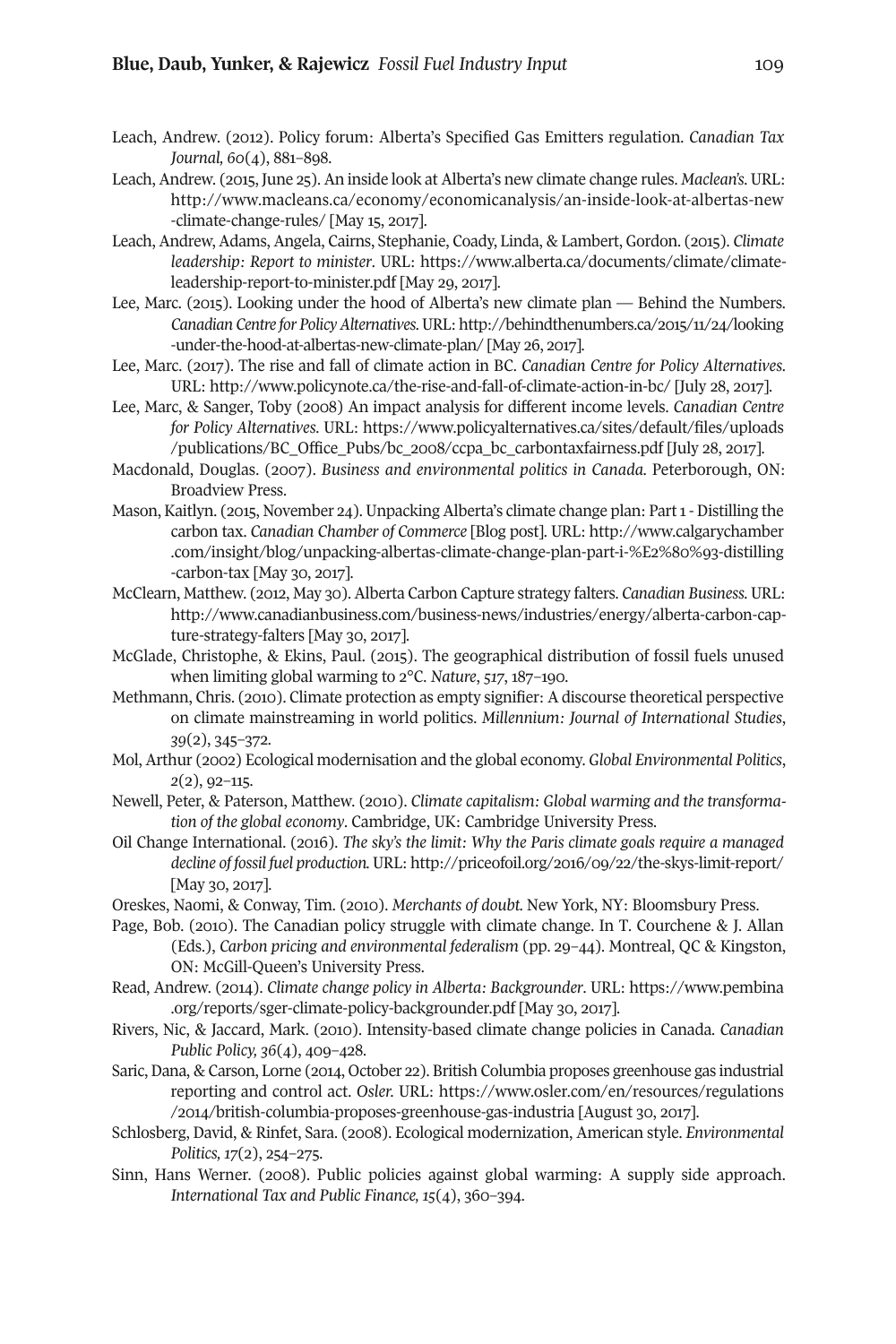- Leach, Andrew. (2012). Policy forum: Alberta's Specified Gas Emitters regulation. *Canadian Tax Journal, 60*(4), 881–898.
- Leach, Andrew. (2015, June 25). An inside look at Alberta's new climate change rules. *Maclean's*. URL: [http://www.macleans.ca/economy/economicanalysis/an-inside-look-at-albertas-new](http://www.macleans.ca/economy/economicanalysis/an-inside-look-at-albertas-new-climate-change-rules/) [-climate-change-rules/](http://www.macleans.ca/economy/economicanalysis/an-inside-look-at-albertas-new-climate-change-rules/) [May 15, 2017].
- Leach, Andrew, Adams, Angela, Cairns, Stephanie, Coady, Linda, & Lambert, Gordon. (2015). *Climate leadership: Report to minister*. URL: [https://www.alberta.ca/documents/climate/climate](https://www.alberta.ca/documents/climate/climate-leadership-report-to-minister.pdf)[leadership-report-to-minister.pdf](https://www.alberta.ca/documents/climate/climate-leadership-report-to-minister.pdf) [May 29, 2017].
- Lee, Marc. (2015). Looking under the hood of Alberta's new climate plan Behind the Numbers. *Canadian Centre for PolicyAlternatives*.URL: [http://behindthenumbers.ca/2015/11/24/looking](http://behindthenumbers.ca/2015/11/24/looking-under-the-hood-at-albertas-new-climate-plan/) [-under-the-hood-at-albertas-new-climate-plan/](http://behindthenumbers.ca/2015/11/24/looking-under-the-hood-at-albertas-new-climate-plan/) [May 26, 2017].
- Lee, Marc. (2017). The rise and fall of climate action in BC. *Canadian Centre for Policy Alternatives*. URL: <http://www.policynote.ca/the-rise-and-fall-of-climate-action-in-bc/> [July 28, 2017].
- Lee, Marc, & Sanger, Toby (2008) An impact analysis for different income levels. *Canadian Centre for Policy Alternatives*. URL: [https://www.policyalternatives.ca/sites/default/files/uploads](https://www.policyalternatives.ca/sites/default/files/uploads/publications/BC_Office_Pubs/bc_2008/ccpa_bc_carbontaxfairness.pdf) [/publications/BC\\_Office\\_Pubs/bc\\_2008/ccpa\\_bc\\_carbontaxfairness.pdf](https://www.policyalternatives.ca/sites/default/files/uploads/publications/BC_Office_Pubs/bc_2008/ccpa_bc_carbontaxfairness.pdf) [July 28, 2017].
- Macdonald, Douglas. (2007). *Business and environmental politics in Canada.* Peterborough, ON: Broadview Press.
- Mason, Kaitlyn. (2015, November 24). Unpacking Alberta's climate change plan: Part1- Distilling the carbon tax. *Canadian Chamber of Commerce* [Blog post]. URL: [http://www.calgarychamber](http://www.calgarychamber.com/insight/blog/unpacking-albertas-climate-change-plan-part-i-%E2%80%93-distilling-carbon-tax) [.com/insight/blog/unpacking-albertas-climate-change-plan-part-i-%E2%80%93-distilling](http://www.calgarychamber.com/insight/blog/unpacking-albertas-climate-change-plan-part-i-%E2%80%93-distilling-carbon-tax) [-carbon-tax](http://www.calgarychamber.com/insight/blog/unpacking-albertas-climate-change-plan-part-i-%E2%80%93-distilling-carbon-tax) [May 30, 2017].
- McClearn, Matthew. (2012, May 30). Alberta Carbon Capture strategy falters. *Canadian Business*. [URL:](http://www.canadianbusiness.com/business-news/industries/energy/alberta-carbon-capture-strategy-falters/) [http://www.canadianbusiness.com/business-news/industries/energy/alberta-carbon-cap](http://www.canadianbusiness.com/business-news/industries/energy/alberta-carbon-capture-strategy-falters)[ture-strategy-falters](http://www.canadianbusiness.com/business-news/industries/energy/alberta-carbon-capture-strategy-falters) [May 30, 2017].
- McGlade, Christophe, & Ekins, Paul. (2015). The geographical distribution of fossil fuels unused when limiting global warming to 2°C. *Nature*, *517*, 187–190.
- Methmann, Chris. (2010). Climate protection as empty signifier: A discourse theoretical perspective on climate mainstreaming in world politics. *Millennium: Journal of International Studies*, *39*(2), 345–372.
- Mol, Arthur (2002) Ecological modernisation and the global economy. *Global Environmental Politics*, *2*(2), 92–115.
- Newell, Peter, & Paterson, Matthew. (2010). *Climate capitalism: Global warming and the transformation of the global economy*. Cambridge, UK: Cambridge University Press.
- Oil Change International. (2016). *The sky's the limit: Why the Paris climate goals require a managed decline of fossil fuel production.* URL: <http://priceofoil.org/2016/09/22/the-skys-limit-report/> [May 30, 2017].
- Oreskes, Naomi, & Conway, Tim. (2010). *Merchants of doubt.* New York, NY: Bloomsbury Press.
- Page, Bob. (2010). The Canadian policy struggle with climate change. In T. Courchene & J. Allan (Eds.), *Carbon pricing and environmental federalism* (pp. 29–44). Montreal, QC & Kingston, ON: McGill-Queen's University Press.
- Read, Andrew. (2014). *Climate change policy in Alberta: Backgrounder*. URL: [https://www.pembina](https://www.pembina.org/reports/sger-climate-policy-backgrounder.pdf) [.org/reports/sger-climate-policy-backgrounder.pdf](https://www.pembina.org/reports/sger-climate-policy-backgrounder.pdf) [May 30, 2017].
- Rivers, Nic, & Jaccard, Mark. (2010). Intensity-based climate change policies in Canada. *Canadian Public Policy, 36*(4), 409–428.
- Saric, Dana, & Carson, Lorne (2014, October 22). British Columbia proposes greenhouse gas industrial reporting and control act. *Osler.* URL: [https://www.osler.com/en/resources/regulations](https://www.osler.com/en/resources/regulations/2014/british-columbia-proposes-greenhouse-gas-industria) [/2014/british-columbia-proposes-greenhouse-gas-industria](https://www.osler.com/en/resources/regulations/2014/british-columbia-proposes-greenhouse-gas-industria) [August 30, 2017].
- Schlosberg, David, & Rinfet, Sara. (2008). Ecological modernization, American style. *Environmental Politics, 17*(2), 254–275.
- Sinn, Hans Werner. (2008). Public policies against global warming: A supply side approach. *International Tax and Public Finance, 15*(4), 360–394.